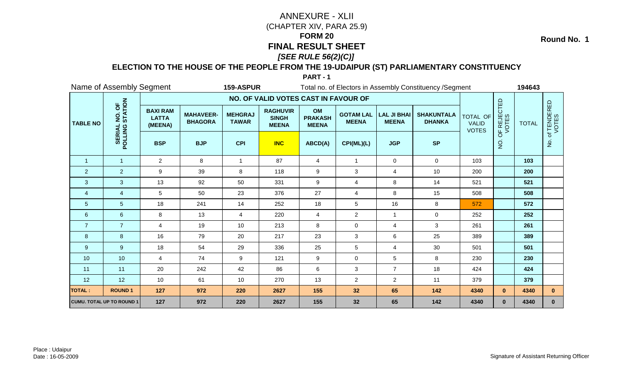**Round No. 1**

### **ELECTION TO THE HOUSE OF THE PEOPLE FROM THE 19-UDAIPUR (ST) PARLIAMENTARY CONSTITUENCY**

|                 | Name of Assembly Segment         |                                            |                                    | 159-ASPUR                      |                                                 |                                      |                                  |                                    | Total no. of Electors in Assembly Constituency / Segment |                                          |                                 | 194643       |                            |
|-----------------|----------------------------------|--------------------------------------------|------------------------------------|--------------------------------|-------------------------------------------------|--------------------------------------|----------------------------------|------------------------------------|----------------------------------------------------------|------------------------------------------|---------------------------------|--------------|----------------------------|
|                 |                                  |                                            |                                    |                                | NO. OF VALID VOTES CAST IN FAVOUR OF            |                                      |                                  |                                    |                                                          |                                          |                                 |              |                            |
| <b>TABLE NO</b> | SERIAL NO. OF<br>POLLING STATION | <b>BAXI RAM</b><br><b>LATTA</b><br>(MEENA) | <b>MAHAVEER-</b><br><b>BHAGORA</b> | <b>MEHGRAJ</b><br><b>TAWAR</b> | <b>RAGHUVIR</b><br><b>SINGH</b><br><b>MEENA</b> | OM<br><b>PRAKASH</b><br><b>MEENA</b> | <b>GOTAM LAL</b><br><b>MEENA</b> | <b>LAL JI BHAI</b><br><b>MEENA</b> | <b>SHAKUNTALA</b><br><b>DHANKA</b>                       | TOTAL OF<br><b>VALID</b><br><b>VOTES</b> | <b>PF REJECTED</b><br>VOTES     | <b>TOTAL</b> | <b>f TENDERED</b><br>VOTES |
|                 |                                  | <b>BSP</b>                                 | <b>BJP</b>                         | <b>CPI</b>                     | <b>INC</b>                                      | ABCD(A)                              | CPI(ML)(L)                       | <b>JGP</b>                         | <b>SP</b>                                                |                                          | $\overline{6}$<br>$\rm \dot{Q}$ |              | 'ত<br>$\frac{5}{2}$        |
| $\overline{1}$  | $\mathbf{1}$                     | $\overline{2}$                             | 8                                  | $\mathbf{1}$                   | 87                                              | 4                                    | $\overline{1}$                   | $\mathbf 0$                        | $\mathbf 0$                                              | 103                                      |                                 | 103          |                            |
| $\overline{2}$  | $\overline{2}$                   | 9                                          | 39                                 | 8                              | 118                                             | $\boldsymbol{9}$                     | 3                                | $\overline{4}$                     | 10                                                       | 200                                      |                                 | 200          |                            |
| 3               | 3                                | 13                                         | 92                                 | 50                             | 331                                             | 9                                    | 4                                | 8                                  | 14                                                       | 521                                      |                                 | 521          |                            |
| $\overline{4}$  | 4                                | 5                                          | 50                                 | 23                             | 376                                             | 27                                   | 4                                | 8                                  | 15                                                       | 508                                      |                                 | 508          |                            |
| $5\phantom{.0}$ | 5                                | 18                                         | 241                                | 14                             | 252                                             | 18                                   | 5                                | 16                                 | 8                                                        | 572                                      |                                 | 572          |                            |
| $6\phantom{1}6$ | 6                                | 8                                          | 13                                 | $\overline{4}$                 | 220                                             | $\overline{4}$                       | $\overline{2}$                   | $\mathbf{1}$                       | $\mathbf 0$                                              | 252                                      |                                 | 252          |                            |
| $\overline{7}$  | $\overline{7}$                   | 4                                          | 19                                 | 10                             | 213                                             | $\,8\,$                              | 0                                | 4                                  | $\mathbf{3}$                                             | 261                                      |                                 | 261          |                            |
| 8               | 8                                | 16                                         | 79                                 | 20                             | 217                                             | 23                                   | 3                                | 6                                  | 25                                                       | 389                                      |                                 | 389          |                            |
| 9               | 9                                | 18                                         | 54                                 | 29                             | 336                                             | 25                                   | 5                                | 4                                  | 30                                                       | 501                                      |                                 | 501          |                            |
| 10              | 10                               | $\overline{4}$                             | 74                                 | 9                              | 121                                             | 9                                    | $\mathbf 0$                      | 5                                  | 8                                                        | 230                                      |                                 | 230          |                            |
| 11              | 11                               | 20                                         | 242                                | 42                             | 86                                              | 6                                    | $\mathbf 3$                      | $\overline{7}$                     | 18                                                       | 424                                      |                                 | 424          |                            |
| 12              | 12                               | 10                                         | 61                                 | 10 <sup>1</sup>                | 270                                             | 13                                   | $\overline{2}$                   | $\overline{c}$                     | 11                                                       | 379                                      |                                 | 379          |                            |
| TOTAL :         | <b>ROUND1</b>                    | 127                                        | 972                                | 220                            | 2627                                            | 155                                  | 32                               | 65                                 | 142                                                      | 4340                                     | $\mathbf{0}$                    | 4340         | $\mathbf{0}$               |
|                 | <b>CUMU, TOTAL UP TO ROUND 1</b> | 127                                        | 972                                | 220                            | 2627                                            | 155                                  | 32                               | 65                                 | 142                                                      | 4340                                     | $\mathbf{0}$                    | 4340         | $\mathbf{0}$               |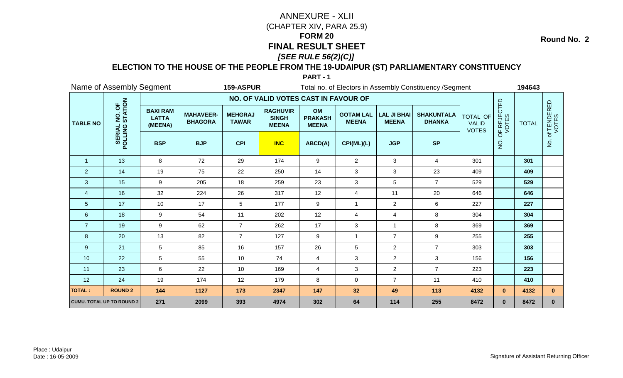**Round No. 2**

### **ELECTION TO THE HOUSE OF THE PEOPLE FROM THE 19-UDAIPUR (ST) PARLIAMENTARY CONSTITUENCY**

|                 | Name of Assembly Segment         |                                            |                                    | 159-ASPUR                      |                                                 |                                      |                                  |                                    | Total no. of Electors in Assembly Constituency / Segment |                                          |                      | 194643       |                     |
|-----------------|----------------------------------|--------------------------------------------|------------------------------------|--------------------------------|-------------------------------------------------|--------------------------------------|----------------------------------|------------------------------------|----------------------------------------------------------|------------------------------------------|----------------------|--------------|---------------------|
|                 |                                  |                                            |                                    |                                | NO. OF VALID VOTES CAST IN FAVOUR OF            |                                      |                                  |                                    |                                                          |                                          |                      |              |                     |
| <b>TABLE NO</b> | NO. OF<br>STATION                | <b>BAXI RAM</b><br><b>LATTA</b><br>(MEENA) | <b>MAHAVEER-</b><br><b>BHAGORA</b> | <b>MEHGRAJ</b><br><b>TAWAR</b> | <b>RAGHUVIR</b><br><b>SINGH</b><br><b>MEENA</b> | OM<br><b>PRAKASH</b><br><b>MEENA</b> | <b>GOTAM LAL</b><br><b>MEENA</b> | <b>LAL JI BHAI</b><br><b>MEENA</b> | <b>SHAKUNTALA</b><br><b>DHANKA</b>                       | TOTAL OF<br><b>VALID</b><br><b>VOTES</b> | OF REJECTED<br>VOTES | <b>TOTAL</b> | f TENDERED<br>VOTES |
|                 | POLLING                          | <b>BSP</b>                                 | <b>BJP</b>                         | <b>CPI</b>                     | <b>INC</b>                                      | ABCD(A)                              | CPI(ML)(L)                       | <b>JGP</b>                         | <b>SP</b>                                                |                                          | $\dot{Q}$            |              | ৳<br>$\frac{1}{2}$  |
| $\overline{1}$  | 13                               | 8                                          | 72                                 | 29                             | 174                                             | 9                                    | $\overline{a}$                   | 3                                  | $\overline{4}$                                           | 301                                      |                      | 301          |                     |
| $\overline{2}$  | 14                               | 19                                         | 75                                 | 22                             | 250                                             | 14                                   | 3                                | 3                                  | 23                                                       | 409                                      |                      | 409          |                     |
| 3               | 15                               | 9                                          | 205                                | 18                             | 259                                             | 23                                   | 3                                | 5                                  | $\overline{7}$                                           | 529                                      |                      | 529          |                     |
| $\overline{4}$  | 16                               | 32                                         | 224                                | 26                             | 317                                             | 12                                   | 4                                | 11                                 | 20                                                       | 646                                      |                      | 646          |                     |
| 5               | 17                               | 10                                         | 17                                 | 5                              | 177                                             | 9                                    | $\overline{\phantom{a}}$         | $\overline{a}$                     | 6                                                        | 227                                      |                      | 227          |                     |
| 6               | 18                               | 9                                          | 54                                 | 11                             | 202                                             | 12                                   | 4                                | $\overline{\mathbf{4}}$            | 8                                                        | 304                                      |                      | 304          |                     |
| $\overline{7}$  | 19                               | $\boldsymbol{9}$                           | 62                                 | $\overline{7}$                 | 262                                             | 17                                   | 3                                | 1                                  | 8                                                        | 369                                      |                      | 369          |                     |
| 8               | 20                               | 13                                         | 82                                 | $\overline{7}$                 | 127                                             | 9                                    | $\overline{\phantom{a}}$         | $\overline{7}$                     | 9                                                        | 255                                      |                      | 255          |                     |
| 9               | 21                               | 5                                          | 85                                 | 16                             | 157                                             | 26                                   | 5                                | $\overline{2}$                     | $\overline{7}$                                           | 303                                      |                      | 303          |                     |
| 10              | 22                               | 5                                          | 55                                 | 10                             | 74                                              | $\overline{4}$                       | 3                                | $\overline{2}$                     | 3                                                        | 156                                      |                      | 156          |                     |
| 11              | 23                               | 6                                          | 22                                 | 10                             | 169                                             | $\overline{4}$                       | 3                                | $\overline{a}$                     | $\overline{7}$                                           | 223                                      |                      | 223          |                     |
| 12              | 24                               | 19                                         | 174                                | 12                             | 179                                             | $\,8\,$                              | $\mathbf 0$                      | $\overline{7}$                     | 11                                                       | 410                                      |                      | 410          |                     |
| <b>TOTAL:</b>   | <b>ROUND 2</b>                   | 144                                        | 1127                               | 173                            | 2347                                            | 147                                  | 32                               | 49                                 | 113                                                      | 4132                                     | $\mathbf{0}$         | 4132         | $\mathbf{0}$        |
|                 | <b>CUMU. TOTAL UP TO ROUND 2</b> | 271                                        | 2099                               | 393                            | 4974                                            | 302                                  | 64                               | 114                                | 255                                                      | 8472                                     | $\mathbf{0}$         | 8472         | $\mathbf{0}$        |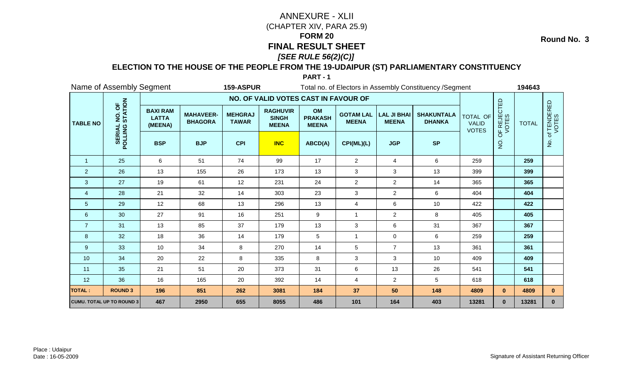**Round No. 3**

### **ELECTION TO THE HOUSE OF THE PEOPLE FROM THE 19-UDAIPUR (ST) PARLIAMENTARY CONSTITUENCY**

|                 | Name of Assembly Segment         |                                            |                                    | 159-ASPUR                      |                                                 |                                      |                                  |                                    | Total no. of Electors in Assembly Constituency / Segment |                                          |                      | 194643       |                     |
|-----------------|----------------------------------|--------------------------------------------|------------------------------------|--------------------------------|-------------------------------------------------|--------------------------------------|----------------------------------|------------------------------------|----------------------------------------------------------|------------------------------------------|----------------------|--------------|---------------------|
|                 |                                  |                                            |                                    |                                | NO. OF VALID VOTES CAST IN FAVOUR OF            |                                      |                                  |                                    |                                                          |                                          |                      |              |                     |
| <b>TABLE NO</b> | NO. OF<br>STATION                | <b>BAXI RAM</b><br><b>LATTA</b><br>(MEENA) | <b>MAHAVEER-</b><br><b>BHAGORA</b> | <b>MEHGRAJ</b><br><b>TAWAR</b> | <b>RAGHUVIR</b><br><b>SINGH</b><br><b>MEENA</b> | OM<br><b>PRAKASH</b><br><b>MEENA</b> | <b>GOTAM LAL</b><br><b>MEENA</b> | <b>LAL JI BHAI</b><br><b>MEENA</b> | <b>SHAKUNTALA</b><br><b>DHANKA</b>                       | TOTAL OF<br><b>VALID</b><br><b>VOTES</b> | OF REJECTED<br>VOTES | <b>TOTAL</b> | f TENDERED<br>VOTES |
|                 | POLLING                          | <b>BSP</b>                                 | <b>BJP</b>                         | <b>CPI</b>                     | <b>INC</b>                                      | ABCD(A)                              | CPI(ML)(L)                       | <b>JGP</b>                         | <b>SP</b>                                                |                                          | $\dot{Q}$            |              | 'ত<br>$\frac{1}{2}$ |
| $\overline{1}$  | 25                               | 6                                          | 51                                 | 74                             | 99                                              | 17                                   | $\overline{2}$                   | 4                                  | 6                                                        | 259                                      |                      | 259          |                     |
| $\overline{2}$  | 26                               | 13                                         | 155                                | 26                             | 173                                             | 13                                   | 3                                | 3                                  | 13                                                       | 399                                      |                      | 399          |                     |
| 3               | 27                               | 19                                         | 61                                 | 12                             | 231                                             | 24                                   | $\overline{2}$                   | $\overline{2}$                     | 14                                                       | 365                                      |                      | 365          |                     |
| $\overline{4}$  | 28                               | 21                                         | 32                                 | 14                             | 303                                             | 23                                   | 3                                | $\overline{2}$                     | 6                                                        | 404                                      |                      | 404          |                     |
| 5               | 29                               | 12                                         | 68                                 | 13                             | 296                                             | 13                                   | 4                                | 6                                  | 10                                                       | 422                                      |                      | 422          |                     |
| 6               | 30                               | 27                                         | 91                                 | 16                             | 251                                             | $\boldsymbol{9}$                     | $\overline{1}$                   | $\overline{a}$                     | 8                                                        | 405                                      |                      | 405          |                     |
| $\overline{7}$  | 31                               | 13                                         | 85                                 | 37                             | 179                                             | 13                                   | 3                                | 6                                  | 31                                                       | 367                                      |                      | 367          |                     |
| 8               | 32                               | 18                                         | 36                                 | 14                             | 179                                             | 5                                    | $\overline{\phantom{a}}$         | 0                                  | 6                                                        | 259                                      |                      | 259          |                     |
| 9               | 33                               | 10                                         | 34                                 | 8                              | 270                                             | 14                                   | 5                                | $\overline{7}$                     | 13                                                       | 361                                      |                      | 361          |                     |
| 10              | 34                               | 20                                         | 22                                 | 8                              | 335                                             | 8                                    | 3                                | 3                                  | 10                                                       | 409                                      |                      | 409          |                     |
| 11              | 35                               | 21                                         | 51                                 | 20                             | 373                                             | 31                                   | 6                                | 13                                 | 26                                                       | 541                                      |                      | 541          |                     |
| 12              | 36                               | 16                                         | 165                                | 20                             | 392                                             | 14                                   | 4                                | $\overline{2}$                     | 5                                                        | 618                                      |                      | 618          |                     |
| <b>TOTAL:</b>   | <b>ROUND 3</b>                   | 196                                        | 851                                | 262                            | 3081                                            | 184                                  | 37                               | 50                                 | 148                                                      | 4809                                     | $\mathbf{0}$         | 4809         | $\mathbf{0}$        |
|                 | <b>CUMU. TOTAL UP TO ROUND 3</b> | 467                                        | 2950                               | 655                            | 8055                                            | 486                                  | 101                              | 164                                | 403                                                      | 13281                                    | $\mathbf{0}$         | 13281        | $\mathbf{0}$        |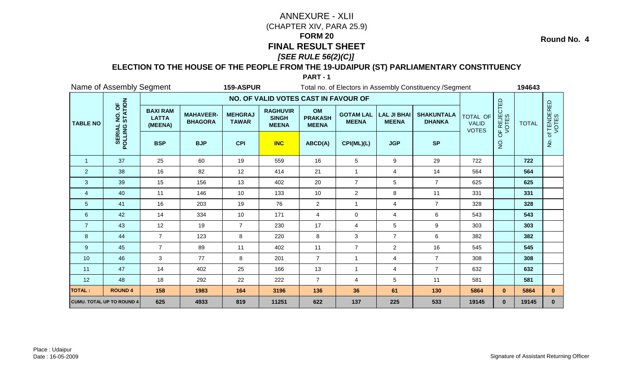**Round No. 4**

### **ELECTION TO THE HOUSE OF THE PEOPLE FROM THE 19-UDAIPUR (ST) PARLIAMENTARY CONSTITUENCY**

|                 | Name of Assembly Segment         |                                            |                                    | 159-ASPUR                      |                                                 |                                      |                                  |                                    | Total no. of Electors in Assembly Constituency / Segment |                                          |                      | 194643       |                     |
|-----------------|----------------------------------|--------------------------------------------|------------------------------------|--------------------------------|-------------------------------------------------|--------------------------------------|----------------------------------|------------------------------------|----------------------------------------------------------|------------------------------------------|----------------------|--------------|---------------------|
|                 |                                  |                                            |                                    |                                | NO. OF VALID VOTES CAST IN FAVOUR OF            |                                      |                                  |                                    |                                                          |                                          |                      |              |                     |
| <b>TABLE NO</b> | NO. OF<br>STATION                | <b>BAXI RAM</b><br><b>LATTA</b><br>(MEENA) | <b>MAHAVEER-</b><br><b>BHAGORA</b> | <b>MEHGRAJ</b><br><b>TAWAR</b> | <b>RAGHUVIR</b><br><b>SINGH</b><br><b>MEENA</b> | OM<br><b>PRAKASH</b><br><b>MEENA</b> | <b>GOTAM LAL</b><br><b>MEENA</b> | <b>LAL JI BHAI</b><br><b>MEENA</b> | <b>SHAKUNTALA</b><br><b>DHANKA</b>                       | TOTAL OF<br><b>VALID</b><br><b>VOTES</b> | OF REJECTED<br>VOTES | <b>TOTAL</b> | f TENDERED<br>VOTES |
|                 | POLLING                          | <b>BSP</b>                                 | <b>BJP</b>                         | <b>CPI</b>                     | <b>INC</b>                                      | ABCD(A)                              | CPI(ML)(L)                       | <b>JGP</b>                         | <b>SP</b>                                                |                                          | $\dot{Q}$            |              | ৳<br>$\frac{1}{2}$  |
| $\overline{1}$  | 37                               | 25                                         | 60                                 | 19                             | 559                                             | 16                                   | $5\phantom{.0}$                  | 9                                  | 29                                                       | 722                                      |                      | 722          |                     |
| $\overline{2}$  | 38                               | 16                                         | 82                                 | 12                             | 414                                             | 21                                   | $\overline{1}$                   | 4                                  | 14                                                       | 564                                      |                      | 564          |                     |
| 3               | 39                               | 15                                         | 156                                | 13                             | 402                                             | 20                                   | $\overline{7}$                   | 5                                  | $\overline{7}$                                           | 625                                      |                      | 625          |                     |
| $\overline{4}$  | 40                               | 11                                         | 146                                | 10 <sup>1</sup>                | 133                                             | 10                                   | $\overline{2}$                   | 8                                  | 11                                                       | 331                                      |                      | 331          |                     |
| $5\phantom{1}$  | 41                               | 16                                         | 203                                | 19                             | 76                                              | $\overline{2}$                       | $\overline{1}$                   | 4                                  | $\overline{7}$                                           | 328                                      |                      | 328          |                     |
| $6\phantom{1}6$ | 42                               | 14                                         | 334                                | 10 <sup>1</sup>                | 171                                             | $\overline{4}$                       | $\mathsf 0$                      | $\overline{4}$                     | 6                                                        | 543                                      |                      | 543          |                     |
| $\overline{7}$  | 43                               | 12                                         | 19                                 | $\overline{7}$                 | 230                                             | 17                                   | 4                                | 5                                  | 9                                                        | 303                                      |                      | 303          |                     |
| 8               | 44                               | $\overline{7}$                             | 123                                | 8                              | 220                                             | 8                                    | $\mathbf{3}$                     | $\overline{7}$                     | 6                                                        | 382                                      |                      | 382          |                     |
| 9               | 45                               | $\overline{7}$                             | 89                                 | 11                             | 402                                             | 11                                   | $\overline{7}$                   | $\overline{2}$                     | 16                                                       | 545                                      |                      | 545          |                     |
| 10              | 46                               | 3                                          | 77                                 | 8                              | 201                                             | $\overline{7}$                       | $\overline{1}$                   | 4                                  | $\overline{7}$                                           | 308                                      |                      | 308          |                     |
| 11              | 47                               | 14                                         | 402                                | 25                             | 166                                             | 13                                   | $\overline{1}$                   | 4                                  | $\overline{7}$                                           | 632                                      |                      | 632          |                     |
| 12              | 48                               | 18                                         | 292                                | 22                             | 222                                             | $\overline{7}$                       | 4                                | 5                                  | 11                                                       | 581                                      |                      | 581          |                     |
| <b>TOTAL:</b>   | <b>ROUND 4</b>                   | 158                                        | 1983                               | 164                            | 3196                                            | 136                                  | 36                               | 61                                 | 130                                                      | 5864                                     | $\mathbf{0}$         | 5864         | $\mathbf{0}$        |
|                 | <b>CUMU. TOTAL UP TO ROUND 4</b> | 625                                        | 4933                               | 819                            | 11251                                           | 622                                  | 137                              | 225                                | 533                                                      | 19145                                    | $\mathbf{0}$         | 19145        | $\bf{0}$            |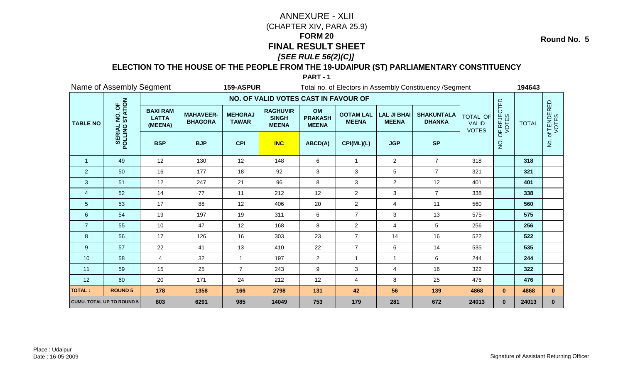**Round No. 5**

#### **ELECTION TO THE HOUSE OF THE PEOPLE FROM THE 19-UDAIPUR (ST) PARLIAMENTARY CONSTITUENCY**

|                 | Name of Assembly Segment         |                                            |                                    | 159-ASPUR                      |                                                 |                                      |                                  |                                    | Total no. of Electors in Assembly Constituency / Segment |                                                 |                      | 194643       |                            |
|-----------------|----------------------------------|--------------------------------------------|------------------------------------|--------------------------------|-------------------------------------------------|--------------------------------------|----------------------------------|------------------------------------|----------------------------------------------------------|-------------------------------------------------|----------------------|--------------|----------------------------|
|                 |                                  |                                            |                                    |                                | NO. OF VALID VOTES CAST IN FAVOUR OF            |                                      |                                  |                                    |                                                          |                                                 |                      |              |                            |
| <b>TABLE NO</b> | NO. OF<br>STATION                | <b>BAXI RAM</b><br><b>LATTA</b><br>(MEENA) | <b>MAHAVEER-</b><br><b>BHAGORA</b> | <b>MEHGRAJ</b><br><b>TAWAR</b> | <b>RAGHUVIR</b><br><b>SINGH</b><br><b>MEENA</b> | OM<br><b>PRAKASH</b><br><b>MEENA</b> | <b>GOTAM LAL</b><br><b>MEENA</b> | <b>LAL JI BHAI</b><br><b>MEENA</b> | <b>SHAKUNTALA</b><br><b>DHANKA</b>                       | <b>TOTAL OF</b><br><b>VALID</b><br><b>VOTES</b> | OF REJECTED<br>VOTES | <b>TOTAL</b> | <b>f TENDERED</b><br>VOTES |
|                 | POLLING                          | <b>BSP</b>                                 | <b>BJP</b>                         | <b>CPI</b>                     | <b>INC</b>                                      | ABCD(A)                              | CPI(ML)(L)                       | <b>JGP</b>                         | <b>SP</b>                                                |                                                 | $\frac{1}{2}$        |              | 'ত<br>$\frac{1}{2}$        |
| $\overline{1}$  | 49                               | 12                                         | 130                                | 12                             | 148                                             | 6                                    | $\overline{1}$                   | $\overline{2}$                     | $\overline{7}$                                           | 318                                             |                      | 318          |                            |
| 2               | 50                               | 16                                         | 177                                | 18                             | 92                                              | $\mathbf{3}$                         | 3                                | 5                                  | $\overline{7}$                                           | 321                                             |                      | 321          |                            |
| 3               | 51                               | 12                                         | 247                                | 21                             | 96                                              | $\,8\,$                              | 3                                | $\overline{2}$                     | 12                                                       | 401                                             |                      | 401          |                            |
| $\overline{4}$  | 52                               | 14                                         | 77                                 | 11                             | 212                                             | 12                                   | $\overline{2}$                   | 3                                  | $\overline{7}$                                           | 338                                             |                      | 338          |                            |
| $\overline{5}$  | 53                               | 17                                         | 88                                 | 12                             | 406                                             | 20                                   | $\overline{c}$                   | 4                                  | 11                                                       | 560                                             |                      | 560          |                            |
| $\,6\,$         | 54                               | 19                                         | 197                                | 19                             | 311                                             | 6                                    | $\overline{7}$                   | 3                                  | 13                                                       | 575                                             |                      | 575          |                            |
| $\overline{7}$  | 55                               | 10                                         | 47                                 | 12                             | 168                                             | $\bf 8$                              | $\overline{a}$                   | 4                                  | 5                                                        | 256                                             |                      | 256          |                            |
| 8               | 56                               | 17                                         | 126                                | 16                             | 303                                             | 23                                   | $\overline{7}$                   | 14                                 | 16                                                       | 522                                             |                      | 522          |                            |
| 9               | 57                               | 22                                         | 41                                 | 13                             | 410                                             | 22                                   | $\overline{7}$                   | 6                                  | 14                                                       | 535                                             |                      | 535          |                            |
| 10              | 58                               | $\overline{4}$                             | 32                                 | $\mathbf{1}$                   | 197                                             | $\overline{2}$                       | $\overline{1}$                   | $\mathbf{1}$                       | $6\phantom{.}$                                           | 244                                             |                      | 244          |                            |
| 11              | 59                               | 15                                         | 25                                 | $\overline{7}$                 | 243                                             | $9\,$                                | 3                                | 4                                  | 16                                                       | 322                                             |                      | 322          |                            |
| 12              | 60                               | 20                                         | 171                                | 24                             | 212                                             | 12                                   | 4                                | 8                                  | 25                                                       | 476                                             |                      | 476          |                            |
| TOTAL :         | <b>ROUND 5</b>                   | 178                                        | 1358                               | 166                            | 2798                                            | 131                                  | 42                               | 56                                 | 139                                                      | 4868                                            | $\mathbf{0}$         | 4868         | $\mathbf{0}$               |
|                 | <b>CUMU. TOTAL UP TO ROUND 5</b> | 803                                        | 6291                               | 985                            | 14049                                           | 753                                  | 179                              | 281                                | 672                                                      | 24013                                           | $\mathbf{0}$         | 24013        | $\mathbf{0}$               |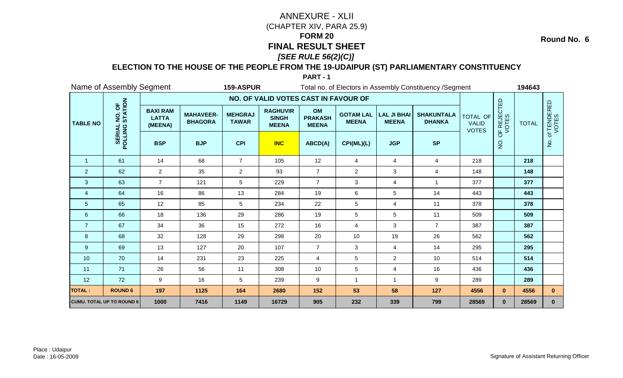**Round No. 6**

### **ELECTION TO THE HOUSE OF THE PEOPLE FROM THE 19-UDAIPUR (ST) PARLIAMENTARY CONSTITUENCY**

|                 | Name of Assembly Segment         |                                            |                                    | 159-ASPUR                      |                                                 |                                      |                                  |                                    | Total no. of Electors in Assembly Constituency / Segment |                                          |                      | 194643       |                      |
|-----------------|----------------------------------|--------------------------------------------|------------------------------------|--------------------------------|-------------------------------------------------|--------------------------------------|----------------------------------|------------------------------------|----------------------------------------------------------|------------------------------------------|----------------------|--------------|----------------------|
|                 |                                  |                                            |                                    |                                | NO. OF VALID VOTES CAST IN FAVOUR OF            |                                      |                                  |                                    |                                                          |                                          |                      |              |                      |
| <b>TABLE NO</b> | NO. OF<br>STATION                | <b>BAXI RAM</b><br><b>LATTA</b><br>(MEENA) | <b>MAHAVEER-</b><br><b>BHAGORA</b> | <b>MEHGRAJ</b><br><b>TAWAR</b> | <b>RAGHUVIR</b><br><b>SINGH</b><br><b>MEENA</b> | OM<br><b>PRAKASH</b><br><b>MEENA</b> | <b>GOTAM LAL</b><br><b>MEENA</b> | <b>LAL JI BHAI</b><br><b>MEENA</b> | <b>SHAKUNTALA</b><br><b>DHANKA</b>                       | TOTAL OF<br><b>VALID</b><br><b>VOTES</b> | OF REJECTED<br>VOTES | <b>TOTAL</b> | of TENDERED<br>VOTES |
|                 | POLLING                          | <b>BSP</b>                                 | <b>BJP</b>                         | <b>CPI</b>                     | <b>INC</b>                                      | ABCD(A)                              | CPI(ML)(L)                       | <b>JGP</b>                         | <b>SP</b>                                                |                                          | $\overline{2}$       |              | $\frac{1}{2}$        |
| $\overline{1}$  | 61                               | 14                                         | 68                                 | $\overline{7}$                 | 105                                             | 12                                   | 4                                | 4                                  | 4                                                        | 218                                      |                      | 218          |                      |
| $\overline{2}$  | 62                               | $\overline{2}$                             | 35                                 | $\overline{2}$                 | 93                                              | $\overline{7}$                       | $\overline{c}$                   | 3                                  | 4                                                        | 148                                      |                      | 148          |                      |
| 3               | 63                               | $\overline{7}$                             | 121                                | 5                              | 229                                             | $\overline{7}$                       | 3                                | 4                                  | 1                                                        | 377                                      |                      | 377          |                      |
| 4               | 64                               | 16                                         | 86                                 | 13                             | 284                                             | 19                                   | 6                                | 5                                  | 14                                                       | 443                                      |                      | 443          |                      |
| 5               | 65                               | 12                                         | 85                                 | 5                              | 234                                             | 22                                   | 5                                | 4                                  | 11                                                       | 378                                      |                      | 378          |                      |
| $6\phantom{1}6$ | 66                               | 18                                         | 136                                | 29                             | 286                                             | 19                                   | 5                                | 5                                  | 11                                                       | 509                                      |                      | 509          |                      |
| $\overline{7}$  | 67                               | 34                                         | 36                                 | 15                             | 272                                             | 16                                   | 4                                | 3                                  | $\overline{7}$                                           | 387                                      |                      | 387          |                      |
| 8               | 68                               | 32                                         | 128                                | 29                             | 298                                             | 20                                   | 10                               | 19                                 | 26                                                       | 562                                      |                      | 562          |                      |
| 9               | 69                               | 13                                         | 127                                | 20                             | 107                                             | $\overline{7}$                       | $\mathbf{3}$                     | 4                                  | 14                                                       | 295                                      |                      | 295          |                      |
| 10              | 70                               | 14                                         | 231                                | 23                             | 225                                             | $\overline{4}$                       | 5                                | $\overline{a}$                     | 10                                                       | 514                                      |                      | 514          |                      |
| 11              | 71                               | 26                                         | 56                                 | 11                             | 308                                             | 10                                   | 5                                | 4                                  | 16                                                       | 436                                      |                      | 436          |                      |
| 12              | 72                               | 9                                          | 16                                 | 5                              | 239                                             | $\boldsymbol{9}$                     | $\mathbf{1}$                     | $\mathbf{1}$                       | $\boldsymbol{9}$                                         | 289                                      |                      | 289          |                      |
| <b>TOTAL:</b>   | <b>ROUND 6</b>                   | 197                                        | 1125                               | 164                            | 2680                                            | 152                                  | 53                               | 58                                 | 127                                                      | 4556                                     | $\mathbf{0}$         | 4556         | $\mathbf{0}$         |
|                 | <b>CUMU. TOTAL UP TO ROUND 6</b> | 1000                                       | 7416                               | 1149                           | 16729                                           | 905                                  | 232                              | 339                                | 799                                                      | 28569                                    | $\mathbf{0}$         | 28569        | $\mathbf{0}$         |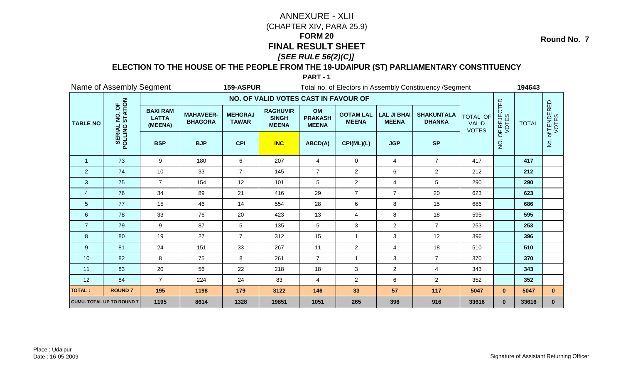**Round No. 7**

### **ELECTION TO THE HOUSE OF THE PEOPLE FROM THE 19-UDAIPUR (ST) PARLIAMENTARY CONSTITUENCY**

|                 | Name of Assembly Segment         |                                            |                                    | 159-ASPUR                      |                                                 |                                      |                                  |                                    | Total no. of Electors in Assembly Constituency / Segment |                                          |                      | 194643       |                     |
|-----------------|----------------------------------|--------------------------------------------|------------------------------------|--------------------------------|-------------------------------------------------|--------------------------------------|----------------------------------|------------------------------------|----------------------------------------------------------|------------------------------------------|----------------------|--------------|---------------------|
|                 |                                  |                                            |                                    |                                | NO. OF VALID VOTES CAST IN FAVOUR OF            |                                      |                                  |                                    |                                                          |                                          |                      |              |                     |
| <b>TABLE NO</b> | NO. OF<br>STATION                | <b>BAXI RAM</b><br><b>LATTA</b><br>(MEENA) | <b>MAHAVEER-</b><br><b>BHAGORA</b> | <b>MEHGRAJ</b><br><b>TAWAR</b> | <b>RAGHUVIR</b><br><b>SINGH</b><br><b>MEENA</b> | OM<br><b>PRAKASH</b><br><b>MEENA</b> | <b>GOTAM LAL</b><br><b>MEENA</b> | <b>LAL JI BHAI</b><br><b>MEENA</b> | <b>SHAKUNTALA</b><br><b>DHANKA</b>                       | TOTAL OF<br><b>VALID</b><br><b>VOTES</b> | OF REJECTED<br>VOTES | <b>TOTAL</b> | f TENDERED<br>VOTES |
|                 | POLLING                          | <b>BSP</b>                                 | <b>BJP</b>                         | <b>CPI</b>                     | <b>INC</b>                                      | ABCD(A)                              | CPI(ML)(L)                       | <b>JGP</b>                         | <b>SP</b>                                                |                                          | $\rm \dot{Q}$        |              | ৳<br>$\frac{1}{2}$  |
| $\overline{1}$  | 73                               | 9                                          | 180                                | 6                              | 207                                             | 4                                    | 0                                | 4                                  | $\overline{7}$                                           | 417                                      |                      | 417          |                     |
| 2               | 74                               | 10                                         | 33                                 | $\overline{7}$                 | 145                                             | $\overline{7}$                       | $\overline{a}$                   | 6                                  | $\overline{2}$                                           | 212                                      |                      | 212          |                     |
| 3               | 75                               | $\overline{7}$                             | 154                                | 12                             | 101                                             | 5                                    | $\overline{2}$                   | 4                                  | 5                                                        | 290                                      |                      | 290          |                     |
| $\overline{4}$  | 76                               | 34                                         | 89                                 | 21                             | 416                                             | 29                                   | $\overline{7}$                   | $\overline{7}$                     | 20                                                       | 623                                      |                      | 623          |                     |
| 5               | 77                               | 15                                         | 46                                 | 14                             | 554                                             | 28                                   | 6                                | 8                                  | 15                                                       | 686                                      |                      | 686          |                     |
| $6\phantom{1}6$ | 78                               | 33                                         | 76                                 | 20                             | 423                                             | 13                                   | $\overline{4}$                   | $\bf 8$                            | 18                                                       | 595                                      |                      | 595          |                     |
| $\overline{7}$  | 79                               | 9                                          | 87                                 | 5                              | 135                                             | 5                                    | $\mathbf{3}$                     | $\overline{2}$                     | $\overline{7}$                                           | 253                                      |                      | 253          |                     |
| 8               | 80                               | 19                                         | 27                                 | $\overline{7}$                 | 312                                             | 15                                   | $\overline{\mathbf{1}}$          | 3                                  | 12                                                       | 396                                      |                      | 396          |                     |
| 9               | 81                               | 24                                         | 151                                | 33                             | 267                                             | 11                                   | $\overline{2}$                   | $\overline{4}$                     | 18                                                       | 510                                      |                      | 510          |                     |
| 10              | 82                               | 8                                          | 75                                 | 8                              | 261                                             | $\overline{7}$                       | $\overline{1}$                   | 3                                  | $\overline{7}$                                           | 370                                      |                      | 370          |                     |
| 11              | 83                               | 20                                         | 56                                 | 22                             | 218                                             | 18                                   | $\sqrt{3}$                       | $\overline{2}$                     | $\overline{4}$                                           | 343                                      |                      | 343          |                     |
| 12              | 84                               | $\overline{7}$                             | 224                                | 24                             | 83                                              | 4                                    | $\overline{2}$                   | 6                                  | $\overline{2}$                                           | 352                                      |                      | 352          |                     |
| <b>TOTAL:</b>   | <b>ROUND7</b>                    | 195                                        | 1198                               | 179                            | 3122                                            | 146                                  | 33                               | 57                                 | 117                                                      | 5047                                     | $\mathbf{0}$         | 5047         | $\mathbf{0}$        |
|                 | <b>CUMU. TOTAL UP TO ROUND 7</b> | 1195                                       | 8614                               | 1328                           | 19851                                           | 1051                                 | 265                              | 396                                | 916                                                      | 33616                                    | $\mathbf{0}$         | 33616        | $\mathbf{0}$        |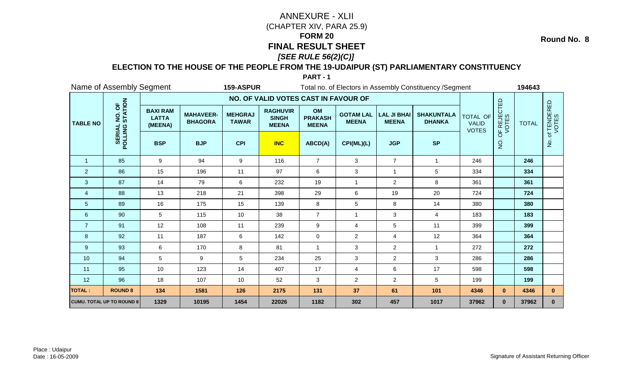**Round No. 8**

### **ELECTION TO THE HOUSE OF THE PEOPLE FROM THE 19-UDAIPUR (ST) PARLIAMENTARY CONSTITUENCY**

|                 | Name of Assembly Segment         |                                            |                                    | 159-ASPUR                      |                                                 |                                      |                                  |                                    | Total no. of Electors in Assembly Constituency / Segment |                                          |                                 | 194643       |                            |
|-----------------|----------------------------------|--------------------------------------------|------------------------------------|--------------------------------|-------------------------------------------------|--------------------------------------|----------------------------------|------------------------------------|----------------------------------------------------------|------------------------------------------|---------------------------------|--------------|----------------------------|
|                 |                                  |                                            |                                    |                                | NO. OF VALID VOTES CAST IN FAVOUR OF            |                                      |                                  |                                    |                                                          |                                          |                                 |              |                            |
| <b>TABLE NO</b> | NO. OF<br>STATION                | <b>BAXI RAM</b><br><b>LATTA</b><br>(MEENA) | <b>MAHAVEER-</b><br><b>BHAGORA</b> | <b>MEHGRAJ</b><br><b>TAWAR</b> | <b>RAGHUVIR</b><br><b>SINGH</b><br><b>MEENA</b> | OM<br><b>PRAKASH</b><br><b>MEENA</b> | <b>GOTAM LAL</b><br><b>MEENA</b> | <b>LAL JI BHAI</b><br><b>MEENA</b> | <b>SHAKUNTALA</b><br><b>DHANKA</b>                       | TOTAL OF<br><b>VALID</b><br><b>VOTES</b> | <b>PF REJECTED</b><br>VOTES     | <b>TOTAL</b> | <b>f TENDERED</b><br>VOTES |
|                 | POLLING S                        | <b>BSP</b>                                 | <b>BJP</b>                         | <b>CPI</b>                     | <b>INC</b>                                      | ABCD(A)                              | CPI(ML)(L)                       | <b>JGP</b>                         | <b>SP</b>                                                |                                          | $\overline{6}$<br>$\rm \dot{Q}$ |              | 'ত<br>$\frac{5}{2}$        |
| $\overline{1}$  | 85                               | 9                                          | 94                                 | 9                              | 116                                             | $\overline{7}$                       | 3                                | $\overline{7}$                     | $\mathbf{1}$                                             | 246                                      |                                 | 246          |                            |
| $\overline{2}$  | 86                               | 15                                         | 196                                | 11                             | 97                                              | $6\phantom{a}$                       | 3                                | 1                                  | 5                                                        | 334                                      |                                 | 334          |                            |
| $\mathbf{3}$    | 87                               | 14                                         | 79                                 | 6                              | 232                                             | 19                                   | 1                                | $\overline{a}$                     | 8                                                        | 361                                      |                                 | 361          |                            |
| $\overline{4}$  | 88                               | 13                                         | 218                                | 21                             | 398                                             | 29                                   | 6                                | 19                                 | 20                                                       | 724                                      |                                 | 724          |                            |
| $\overline{5}$  | 89                               | 16                                         | 175                                | 15                             | 139                                             | $\,8\,$                              | 5                                | 8                                  | 14                                                       | 380                                      |                                 | 380          |                            |
| $\,6\,$         | 90                               | 5                                          | 115                                | 10                             | 38                                              | $\overline{7}$                       | $\overline{1}$                   | 3                                  | $\overline{4}$                                           | 183                                      |                                 | 183          |                            |
| $\overline{7}$  | 91                               | 12                                         | 108                                | 11                             | 239                                             | $\boldsymbol{9}$                     | 4                                | 5                                  | 11                                                       | 399                                      |                                 | 399          |                            |
| 8               | 92                               | 11                                         | 187                                | 6                              | 142                                             | $\mathbf 0$                          | $\overline{c}$                   | 4                                  | 12                                                       | 364                                      |                                 | 364          |                            |
| 9               | 93                               | 6                                          | 170                                | 8                              | 81                                              | $\mathbf{1}$                         | 3                                | $\overline{2}$                     | $\mathbf{1}$                                             | 272                                      |                                 | 272          |                            |
| 10              | 94                               | 5                                          | 9                                  | 5                              | 234                                             | 25                                   | $\mathbf{3}$                     | $\overline{2}$                     | 3                                                        | 286                                      |                                 | 286          |                            |
| 11              | 95                               | 10                                         | 123                                | 14                             | 407                                             | 17                                   | 4                                | 6                                  | 17                                                       | 598                                      |                                 | 598          |                            |
| 12              | 96                               | 18                                         | 107                                | 10                             | 52                                              | $\mathbf{3}$                         | $\overline{a}$                   | $\overline{a}$                     | 5                                                        | 199                                      |                                 | 199          |                            |
| TOTAL:          | <b>ROUND 8</b>                   | 134                                        | 1581                               | 126                            | 2175                                            | 131                                  | 37                               | 61                                 | 101                                                      | 4346                                     | $\mathbf{0}$                    | 4346         | $\mathbf{0}$               |
|                 | <b>CUMU. TOTAL UP TO ROUND 8</b> | 1329                                       | 10195                              | 1454                           | 22026                                           | 1182                                 | 302                              | 457                                | 1017                                                     | 37962                                    | $\mathbf{0}$                    | 37962        | $\mathbf{0}$               |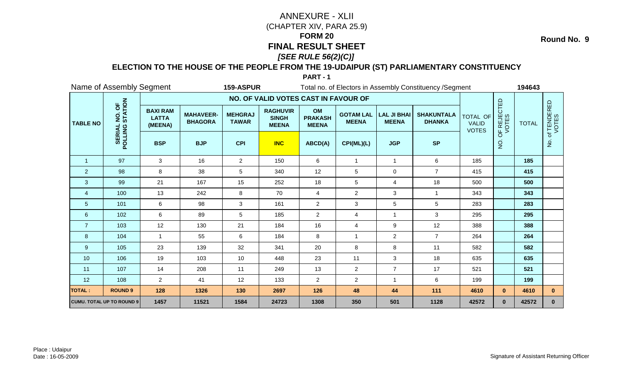**Round No. 9**

### **ELECTION TO THE HOUSE OF THE PEOPLE FROM THE 19-UDAIPUR (ST) PARLIAMENTARY CONSTITUENCY**

|                 | Name of Assembly Segment         |                                            |                                    | 159-ASPUR                      |                                                 |                                      |                                  |                                    | Total no. of Electors in Assembly Constituency / Segment |                                          |                      | 194643       |                     |
|-----------------|----------------------------------|--------------------------------------------|------------------------------------|--------------------------------|-------------------------------------------------|--------------------------------------|----------------------------------|------------------------------------|----------------------------------------------------------|------------------------------------------|----------------------|--------------|---------------------|
|                 |                                  |                                            |                                    |                                | NO. OF VALID VOTES CAST IN FAVOUR OF            |                                      |                                  |                                    |                                                          |                                          |                      |              |                     |
| <b>TABLE NO</b> | NO. OF<br>STATION                | <b>BAXI RAM</b><br><b>LATTA</b><br>(MEENA) | <b>MAHAVEER-</b><br><b>BHAGORA</b> | <b>MEHGRAJ</b><br><b>TAWAR</b> | <b>RAGHUVIR</b><br><b>SINGH</b><br><b>MEENA</b> | OM<br><b>PRAKASH</b><br><b>MEENA</b> | <b>GOTAM LAL</b><br><b>MEENA</b> | <b>LAL JI BHAI</b><br><b>MEENA</b> | <b>SHAKUNTALA</b><br><b>DHANKA</b>                       | TOTAL OF<br><b>VALID</b><br><b>VOTES</b> | OF REJECTED<br>VOTES | <b>TOTAL</b> | f TENDERED<br>VOTES |
|                 | POLLING                          | <b>BSP</b>                                 | <b>BJP</b>                         | <b>CPI</b>                     | <b>INC</b>                                      | ABCD(A)                              | CPI(ML)(L)                       | <b>JGP</b>                         | <b>SP</b>                                                |                                          | $\dot{Q}$            |              | 'ত<br>$\frac{1}{2}$ |
| $\overline{1}$  | 97                               | 3                                          | 16                                 | $\overline{2}$                 | 150                                             | 6                                    | $\overline{1}$                   | $\mathbf{1}$                       | 6                                                        | 185                                      |                      | 185          |                     |
| 2               | 98                               | 8                                          | 38                                 | 5                              | 340                                             | 12                                   | 5                                | 0                                  | $\overline{7}$                                           | 415                                      |                      | 415          |                     |
| 3               | 99                               | 21                                         | 167                                | 15                             | 252                                             | 18                                   | 5                                | 4                                  | 18                                                       | 500                                      |                      | 500          |                     |
| $\overline{4}$  | 100                              | 13                                         | 242                                | 8                              | 70                                              | $\overline{4}$                       | $\overline{a}$                   | 3                                  | $\mathbf{1}$                                             | 343                                      |                      | 343          |                     |
| 5               | 101                              | 6                                          | 98                                 | 3                              | 161                                             | $\overline{2}$                       | 3                                | 5                                  | 5                                                        | 283                                      |                      | 283          |                     |
| 6               | 102                              | 6                                          | 89                                 | 5                              | 185                                             | $\overline{2}$                       | 4                                | $\mathbf{1}$                       | 3                                                        | 295                                      |                      | 295          |                     |
| $\overline{7}$  | 103                              | 12                                         | 130                                | 21                             | 184                                             | 16                                   | 4                                | 9                                  | 12                                                       | 388                                      |                      | 388          |                     |
| 8               | 104                              | 1                                          | 55                                 | 6                              | 184                                             | 8                                    | $\overline{\phantom{a}}$         | $\overline{2}$                     | $\overline{7}$                                           | 264                                      |                      | 264          |                     |
| 9               | 105                              | 23                                         | 139                                | 32                             | 341                                             | 20                                   | 8                                | 8                                  | 11                                                       | 582                                      |                      | 582          |                     |
| 10              | 106                              | 19                                         | 103                                | 10                             | 448                                             | 23                                   | 11                               | 3                                  | 18                                                       | 635                                      |                      | 635          |                     |
| 11              | 107                              | 14                                         | 208                                | 11                             | 249                                             | 13                                   | $\overline{c}$                   | $\overline{7}$                     | 17                                                       | 521                                      |                      | 521          |                     |
| 12              | 108                              | $\overline{2}$                             | 41                                 | 12                             | 133                                             | $\overline{2}$                       | $\overline{a}$                   | 1                                  | 6                                                        | 199                                      |                      | 199          |                     |
| <b>TOTAL:</b>   | <b>ROUND 9</b>                   | 128                                        | 1326                               | 130                            | 2697                                            | 126                                  | 48                               | 44                                 | 111                                                      | 4610                                     | $\mathbf{0}$         | 4610         | $\mathbf{0}$        |
|                 | <b>CUMU. TOTAL UP TO ROUND 9</b> | 1457                                       | 11521                              | 1584                           | 24723                                           | 1308                                 | 350                              | 501                                | 1128                                                     | 42572                                    | $\mathbf{0}$         | 42572        | $\mathbf{0}$        |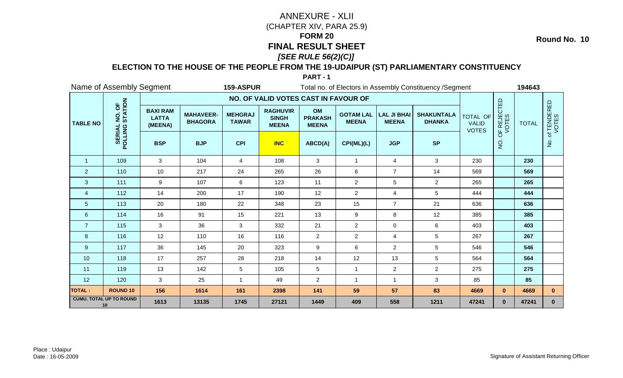**Round No. 10**

## **ELECTION TO THE HOUSE OF THE PEOPLE FROM THE 19-UDAIPUR (ST) PARLIAMENTARY CONSTITUENCY**

|                 | Name of Assembly Segment             |                                            |                                    | 159-ASPUR                      |                                                 |                                      |                                  |                                    | Total no. of Electors in Assembly Constituency / Segment |                                          |                      | 194643       |                     |
|-----------------|--------------------------------------|--------------------------------------------|------------------------------------|--------------------------------|-------------------------------------------------|--------------------------------------|----------------------------------|------------------------------------|----------------------------------------------------------|------------------------------------------|----------------------|--------------|---------------------|
|                 |                                      |                                            |                                    |                                | NO. OF VALID VOTES CAST IN FAVOUR OF            |                                      |                                  |                                    |                                                          |                                          |                      |              |                     |
| <b>TABLE NO</b> | NO. OF<br>STATION                    | <b>BAXI RAM</b><br><b>LATTA</b><br>(MEENA) | <b>MAHAVEER-</b><br><b>BHAGORA</b> | <b>MEHGRAJ</b><br><b>TAWAR</b> | <b>RAGHUVIR</b><br><b>SINGH</b><br><b>MEENA</b> | OM<br><b>PRAKASH</b><br><b>MEENA</b> | <b>GOTAM LAL</b><br><b>MEENA</b> | <b>LAL JI BHAI</b><br><b>MEENA</b> | <b>SHAKUNTALA</b><br><b>DHANKA</b>                       | TOTAL OF<br><b>VALID</b><br><b>VOTES</b> | OF REJECTED<br>VOTES | <b>TOTAL</b> | f TENDERED<br>VOTES |
|                 | POLLING                              | <b>BSP</b>                                 | <b>BJP</b>                         | <b>CPI</b>                     | <b>INC</b>                                      | ABCD(A)                              | CPI(ML)(L)                       | <b>JGP</b>                         | <b>SP</b>                                                |                                          | $\dot{Q}$            |              | 'ত<br>$\frac{1}{2}$ |
| $\overline{1}$  | 109                                  | 3                                          | 104                                | 4                              | 108                                             | 3                                    | $\overline{1}$                   | 4                                  | 3                                                        | 230                                      |                      | 230          |                     |
| $\overline{2}$  | 110                                  | 10                                         | 217                                | 24                             | 265                                             | 26                                   | 6                                | $\overline{7}$                     | 14                                                       | 569                                      |                      | 569          |                     |
| 3               | 111                                  | 9                                          | 107                                | 6                              | 123                                             | 11                                   | $\overline{2}$                   | 5                                  | $\overline{2}$                                           | 265                                      |                      | 265          |                     |
| $\overline{4}$  | 112                                  | 14                                         | 200                                | 17                             | 190                                             | 12                                   | $\overline{2}$                   | 4                                  | 5                                                        | 444                                      |                      | 444          |                     |
| $5\phantom{1}$  | 113                                  | 20                                         | 180                                | 22                             | 348                                             | 23                                   | 15                               | $\overline{7}$                     | 21                                                       | 636                                      |                      | 636          |                     |
| $6\phantom{1}6$ | 114                                  | 16                                         | 91                                 | 15                             | 221                                             | 13                                   | $\boldsymbol{9}$                 | 8                                  | 12                                                       | 385                                      |                      | 385          |                     |
| $\overline{7}$  | 115                                  | 3                                          | 36                                 | 3                              | 332                                             | 21                                   | $\overline{a}$                   | $\pmb{0}$                          | 6                                                        | 403                                      |                      | 403          |                     |
| 8               | 116                                  | 12                                         | 110                                | 16                             | 116                                             | $\overline{2}$                       | $\overline{c}$                   | 4                                  | $5\phantom{.0}$                                          | 267                                      |                      | 267          |                     |
| 9               | 117                                  | 36                                         | 145                                | 20                             | 323                                             | 9                                    | 6                                | $\overline{2}$                     | 5                                                        | 546                                      |                      | 546          |                     |
| 10              | 118                                  | 17                                         | 257                                | 28                             | 218                                             | 14                                   | 12                               | 13                                 | $5\phantom{.0}$                                          | 564                                      |                      | 564          |                     |
| 11              | 119                                  | 13                                         | 142                                | 5                              | 105                                             | $5\phantom{.0}$                      | $\overline{1}$                   | $\overline{2}$                     | $\overline{2}$                                           | 275                                      |                      | 275          |                     |
| 12              | 120                                  | 3                                          | 25                                 | $\mathbf{1}$                   | 49                                              | $\overline{2}$                       | $\overline{1}$                   | 1                                  | $\mathbf{3}$                                             | 85                                       |                      | 85           |                     |
| <b>TOTAL:</b>   | <b>ROUND 10</b>                      | 156                                        | 1614                               | 161                            | 2398                                            | 141                                  | 59                               | 57                                 | 83                                                       | 4669                                     | $\mathbf{0}$         | 4669         | $\mathbf{0}$        |
|                 | <b>CUMU. TOTAL UP TO ROUND</b><br>10 | 1613                                       | 13135                              | 1745                           | 27121                                           | 1449                                 | 409                              | 558                                | 1211                                                     | 47241                                    | $\mathbf{0}$         | 47241        | $\bf{0}$            |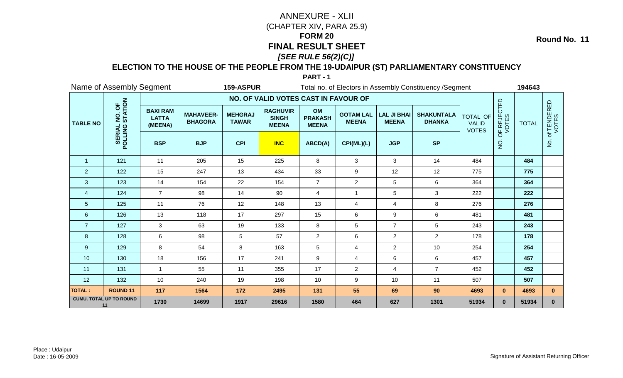**Round No. 11**

## **ELECTION TO THE HOUSE OF THE PEOPLE FROM THE 19-UDAIPUR (ST) PARLIAMENTARY CONSTITUENCY**

|                 | Name of Assembly Segment             |                                            |                                    | 159-ASPUR                      |                                                 |                                      |                                  |                                    | Total no. of Electors in Assembly Constituency / Segment |                                          |                      | 194643       |                      |
|-----------------|--------------------------------------|--------------------------------------------|------------------------------------|--------------------------------|-------------------------------------------------|--------------------------------------|----------------------------------|------------------------------------|----------------------------------------------------------|------------------------------------------|----------------------|--------------|----------------------|
|                 |                                      |                                            |                                    |                                | NO. OF VALID VOTES CAST IN FAVOUR OF            |                                      |                                  |                                    |                                                          |                                          |                      |              |                      |
| <b>TABLE NO</b> | NO. OF<br>STATION                    | <b>BAXI RAM</b><br><b>LATTA</b><br>(MEENA) | <b>MAHAVEER-</b><br><b>BHAGORA</b> | <b>MEHGRAJ</b><br><b>TAWAR</b> | <b>RAGHUVIR</b><br><b>SINGH</b><br><b>MEENA</b> | OM<br><b>PRAKASH</b><br><b>MEENA</b> | <b>GOTAM LAL</b><br><b>MEENA</b> | <b>LAL JI BHAI</b><br><b>MEENA</b> | <b>SHAKUNTALA</b><br><b>DHANKA</b>                       | TOTAL OF<br><b>VALID</b><br><b>VOTES</b> | OF REJECTED<br>VOTES | <b>TOTAL</b> | of TENDERED<br>VOTES |
|                 | POLLING                              | <b>BSP</b>                                 | <b>BJP</b>                         | <b>CPI</b>                     | <b>INC</b>                                      | ABCD(A)                              | CPI(ML)(L)                       | <b>JGP</b>                         | <b>SP</b>                                                |                                          | $\overline{2}$       |              | $\frac{1}{2}$        |
| $\overline{1}$  | 121                                  | 11                                         | 205                                | 15                             | 225                                             | 8                                    | 3                                | 3                                  | 14                                                       | 484                                      |                      | 484          |                      |
| $\overline{2}$  | 122                                  | 15                                         | 247                                | 13                             | 434                                             | 33                                   | 9                                | 12                                 | 12                                                       | 775                                      |                      | 775          |                      |
| 3               | 123                                  | 14                                         | 154                                | 22                             | 154                                             | $\overline{7}$                       | $\overline{c}$                   | 5                                  | 6                                                        | 364                                      |                      | 364          |                      |
| $\overline{4}$  | 124                                  | $\overline{7}$                             | 98                                 | 14                             | 90                                              | $\overline{4}$                       | $\overline{1}$                   | 5                                  | 3                                                        | 222                                      |                      | 222          |                      |
| $5\phantom{1}$  | 125                                  | 11                                         | 76                                 | 12                             | 148                                             | 13                                   | $\overline{4}$                   | 4                                  | 8                                                        | 276                                      |                      | 276          |                      |
| $\,6\,$         | 126                                  | 13                                         | 118                                | 17                             | 297                                             | 15                                   | $\,6\,$                          | 9                                  | $\,6$                                                    | 481                                      |                      | 481          |                      |
| $\overline{7}$  | 127                                  | 3                                          | 63                                 | 19                             | 133                                             | 8                                    | 5                                | $\overline{7}$                     | 5                                                        | 243                                      |                      | 243          |                      |
| 8               | 128                                  | 6                                          | 98                                 | 5                              | 57                                              | $\overline{2}$                       | 6                                | $\overline{2}$                     | $\overline{2}$                                           | 178                                      |                      | 178          |                      |
| 9               | 129                                  | 8                                          | 54                                 | 8                              | 163                                             | 5                                    | $\overline{4}$                   | 2 <sup>1</sup>                     | 10                                                       | 254                                      |                      | 254          |                      |
| 10              | 130                                  | 18                                         | 156                                | 17                             | 241                                             | 9                                    | $\overline{4}$                   | 6                                  | $\,6\,$                                                  | 457                                      |                      | 457          |                      |
| 11              | 131                                  | 1                                          | 55                                 | 11                             | 355                                             | 17                                   | $\overline{2}$                   | 4                                  | $\overline{7}$                                           | 452                                      |                      | 452          |                      |
| 12              | 132                                  | 10                                         | 240                                | 19                             | 198                                             | 10                                   | 9                                | 10                                 | 11                                                       | 507                                      |                      | 507          |                      |
| <b>TOTAL:</b>   | <b>ROUND 11</b>                      | 117                                        | 1564                               | 172                            | 2495                                            | 131                                  | 55                               | 69                                 | 90                                                       | 4693                                     | $\mathbf{0}$         | 4693         | $\mathbf{0}$         |
|                 | <b>CUMU. TOTAL UP TO ROUND</b><br>11 | 1730                                       | 14699                              | 1917                           | 29616                                           | 1580                                 | 464                              | 627                                | 1301                                                     | 51934                                    | $\bf{0}$             | 51934        | $\bf{0}$             |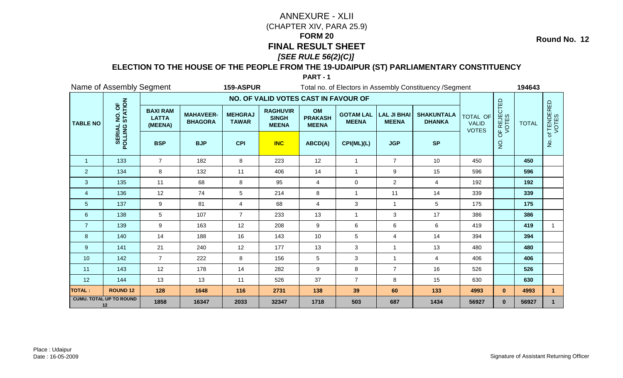**Round No. 12**

### **ELECTION TO THE HOUSE OF THE PEOPLE FROM THE 19-UDAIPUR (ST) PARLIAMENTARY CONSTITUENCY**

|                 | Name of Assembly Segment               |                                            |                                    | 159-ASPUR                      |                                                 |                                      |                                  |                                    | Total no. of Electors in Assembly Constituency / Segment |                                          |                      | 194643       |                     |
|-----------------|----------------------------------------|--------------------------------------------|------------------------------------|--------------------------------|-------------------------------------------------|--------------------------------------|----------------------------------|------------------------------------|----------------------------------------------------------|------------------------------------------|----------------------|--------------|---------------------|
|                 |                                        |                                            |                                    |                                | NO. OF VALID VOTES CAST IN FAVOUR OF            |                                      |                                  |                                    |                                                          |                                          |                      |              |                     |
| <b>TABLE NO</b> | NO. OF                                 | <b>BAXI RAM</b><br><b>LATTA</b><br>(MEENA) | <b>MAHAVEER-</b><br><b>BHAGORA</b> | <b>MEHGRAJ</b><br><b>TAWAR</b> | <b>RAGHUVIR</b><br><b>SINGH</b><br><b>MEENA</b> | OM<br><b>PRAKASH</b><br><b>MEENA</b> | <b>GOTAM LAL</b><br><b>MEENA</b> | <b>LAL JI BHAI</b><br><b>MEENA</b> | <b>SHAKUNTALA</b><br><b>DHANKA</b>                       | TOTAL OF<br><b>VALID</b><br><b>VOTES</b> | OF REJECTED<br>VOTES | <b>TOTAL</b> | f TENDERED<br>VOTES |
|                 | POLLING                                | <b>BSP</b>                                 | <b>BJP</b>                         | <b>CPI</b>                     | <b>INC</b>                                      | ABCD(A)                              | CPI(ML)(L)                       | <b>JGP</b>                         | <b>SP</b>                                                |                                          | $\overline{Q}$       |              | 'ত<br>$\frac{1}{2}$ |
| $\overline{1}$  | 133                                    | $\overline{7}$                             | 182                                | 8                              | 223                                             | 12                                   | $\overline{1}$                   | $\overline{7}$                     | 10                                                       | 450                                      |                      | 450          |                     |
| $\overline{2}$  | 134                                    | 8                                          | 132                                | 11                             | 406                                             | 14                                   | $\overline{ }$                   | 9                                  | 15                                                       | 596                                      |                      | 596          |                     |
| 3               | 135                                    | 11                                         | 68                                 | 8                              | 95                                              | $\overline{4}$                       | $\mathbf 0$                      | $\overline{2}$                     | $\overline{4}$                                           | 192                                      |                      | 192          |                     |
| $\overline{4}$  | 136                                    | 12                                         | 74                                 | 5                              | 214                                             | 8                                    | $\overline{1}$                   | 11                                 | 14                                                       | 339                                      |                      | 339          |                     |
| $5\phantom{1}$  | 137                                    | 9                                          | 81                                 | 4                              | 68                                              | $\overline{4}$                       | 3                                | 1                                  | 5                                                        | 175                                      |                      | 175          |                     |
| $6\phantom{1}6$ | 138                                    | 5                                          | 107                                | $\overline{7}$                 | 233                                             | 13                                   | $\overline{1}$                   | 3                                  | 17                                                       | 386                                      |                      | 386          |                     |
| $\overline{7}$  | 139                                    | 9                                          | 163                                | 12                             | 208                                             | 9                                    | 6                                | 6                                  | 6                                                        | 419                                      |                      | 419          |                     |
| 8               | 140                                    | 14                                         | 188                                | 16                             | 143                                             | 10                                   | 5                                | 4                                  | 14                                                       | 394                                      |                      | 394          |                     |
| 9               | 141                                    | 21                                         | 240                                | 12                             | 177                                             | 13                                   | 3                                | 1                                  | 13                                                       | 480                                      |                      | 480          |                     |
| 10              | 142                                    | $\overline{7}$                             | 222                                | 8                              | 156                                             | $\overline{5}$                       | 3                                | 1                                  | $\overline{4}$                                           | 406                                      |                      | 406          |                     |
| 11              | 143                                    | 12                                         | 178                                | 14                             | 282                                             | 9                                    | 8                                | $\overline{7}$                     | 16                                                       | 526                                      |                      | 526          |                     |
| 12              | 144                                    | 13                                         | 13                                 | 11                             | 526                                             | 37                                   | $\overline{7}$                   | 8                                  | 15                                                       | 630                                      |                      | 630          |                     |
| <b>TOTAL:</b>   | <b>ROUND 12</b>                        | 128                                        | 1648                               | 116                            | 2731                                            | 138                                  | 39                               | 60                                 | 133                                                      | 4993                                     | $\mathbf{0}$         | 4993         | $\mathbf 1$         |
|                 | <b>CUMU. TOTAL UP TO ROUND</b><br>$12$ | 1858                                       | 16347                              | 2033                           | 32347                                           | 1718                                 | 503                              | 687                                | 1434                                                     | 56927                                    | $\mathbf{0}$         | 56927        |                     |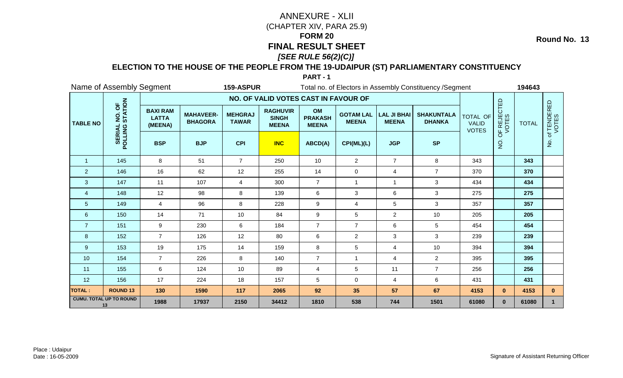**Round No. 13**

### **ELECTION TO THE HOUSE OF THE PEOPLE FROM THE 19-UDAIPUR (ST) PARLIAMENTARY CONSTITUENCY**

|                 | Name of Assembly Segment<br>159-ASPUR |                                            |                                    |                                |                                                 |                                      | 194643<br>Total no. of Electors in Assembly Constituency / Segment |                                    |                                    |                                          |                      |                                                                                                                                 |                     |  |  |
|-----------------|---------------------------------------|--------------------------------------------|------------------------------------|--------------------------------|-------------------------------------------------|--------------------------------------|--------------------------------------------------------------------|------------------------------------|------------------------------------|------------------------------------------|----------------------|---------------------------------------------------------------------------------------------------------------------------------|---------------------|--|--|
|                 |                                       |                                            |                                    |                                | NO. OF VALID VOTES CAST IN FAVOUR OF            |                                      |                                                                    |                                    |                                    |                                          |                      | <b>TOTAL</b><br>'ত<br>$\frac{1}{2}$<br>343<br>370<br>434<br>275<br>357<br>205<br>454<br>239<br>394<br>395<br>256<br>431<br>4153 |                     |  |  |
| <b>TABLE NO</b> | SERIAL NO. OF<br>POLLING STATION      | <b>BAXI RAM</b><br><b>LATTA</b><br>(MEENA) | <b>MAHAVEER-</b><br><b>BHAGORA</b> | <b>MEHGRAJ</b><br><b>TAWAR</b> | <b>RAGHUVIR</b><br><b>SINGH</b><br><b>MEENA</b> | OM<br><b>PRAKASH</b><br><b>MEENA</b> | <b>GOTAM LAL</b><br><b>MEENA</b>                                   | <b>LAL JI BHAI</b><br><b>MEENA</b> | <b>SHAKUNTALA</b><br><b>DHANKA</b> | TOTAL OF<br><b>VALID</b><br><b>VOTES</b> | OF REJECTED<br>VOTES |                                                                                                                                 | f TENDERED<br>VOTES |  |  |
|                 |                                       | <b>BSP</b>                                 | <b>BJP</b>                         | <b>CPI</b>                     | <b>INC</b>                                      | ABCD(A)                              | CPI(ML)(L)                                                         | <b>JGP</b>                         | <b>SP</b>                          |                                          | $\overline{Q}$       |                                                                                                                                 |                     |  |  |
| $\overline{1}$  | 145                                   | 8                                          | 51                                 | $\overline{7}$                 | 250                                             | 10                                   | $\overline{2}$                                                     | $\overline{7}$                     | 8                                  | 343                                      |                      |                                                                                                                                 |                     |  |  |
| $\overline{2}$  | 146                                   | 16                                         | 62                                 | 12                             | 255                                             | 14                                   | $\mathsf 0$                                                        | 4                                  | $\overline{7}$                     | 370                                      |                      |                                                                                                                                 |                     |  |  |
| 3               | 147                                   | 11                                         | 107                                | 4                              | 300                                             | $\overline{7}$                       | $\overline{1}$                                                     | 1                                  | $\mathbf{3}$                       | 434                                      |                      |                                                                                                                                 |                     |  |  |
| $\overline{4}$  | 148                                   | 12                                         | 98                                 | 8                              | 139                                             | 6                                    | 3                                                                  | 6                                  | $\mathbf{3}$                       | 275                                      |                      |                                                                                                                                 |                     |  |  |
| $5\phantom{1}$  | 149                                   | 4                                          | 96                                 | 8                              | 228                                             | $9\,$                                | 4                                                                  | 5                                  | $\mathbf{3}$                       | 357                                      |                      |                                                                                                                                 |                     |  |  |
| $6\phantom{1}6$ | 150                                   | 14                                         | 71                                 | 10 <sub>1</sub>                | 84                                              | $\boldsymbol{9}$                     | 5                                                                  | $\overline{2}$                     | 10                                 | 205                                      |                      |                                                                                                                                 |                     |  |  |
| $\overline{7}$  | 151                                   | 9                                          | 230                                | 6                              | 184                                             | $\overline{7}$                       | $\overline{7}$                                                     | 6                                  | $5\phantom{.0}$                    | 454                                      |                      |                                                                                                                                 |                     |  |  |
| 8               | 152                                   | $\overline{7}$                             | 126                                | 12                             | 80                                              | $\,6\,$                              | $\overline{c}$                                                     | 3                                  | 3                                  | 239                                      |                      |                                                                                                                                 |                     |  |  |
| 9               | 153                                   | 19                                         | 175                                | 14                             | 159                                             | 8                                    | 5                                                                  | $\overline{4}$                     | 10                                 | 394                                      |                      |                                                                                                                                 |                     |  |  |
| 10              | 154                                   | $\overline{7}$                             | 226                                | 8                              | 140                                             | $\overline{7}$                       | $\overline{1}$                                                     | $\overline{4}$                     | $\overline{2}$                     | 395                                      |                      |                                                                                                                                 |                     |  |  |
| 11              | 155                                   | 6                                          | 124                                | 10 <sup>1</sup>                | 89                                              | $\overline{4}$                       | 5                                                                  | 11                                 | $\overline{7}$                     | 256                                      |                      |                                                                                                                                 |                     |  |  |
| 12              | 156                                   | 17                                         | 224                                | 18                             | 157                                             | 5                                    | 0                                                                  | 4                                  | 6                                  | 431                                      |                      |                                                                                                                                 |                     |  |  |
| <b>TOTAL:</b>   | <b>ROUND 13</b>                       | 130                                        | 1590                               | 117                            | 2065                                            | 92                                   | 35                                                                 | 57                                 | 67                                 | 4153                                     | $\mathbf{0}$         |                                                                                                                                 | $\mathbf{0}$        |  |  |
|                 | <b>CUMU. TOTAL UP TO ROUND</b><br>13  | 1988                                       | 17937                              | 2150                           | 34412                                           | 1810                                 | 538                                                                | 744                                | 1501                               | 61080                                    | $\mathbf{0}$         | 61080                                                                                                                           |                     |  |  |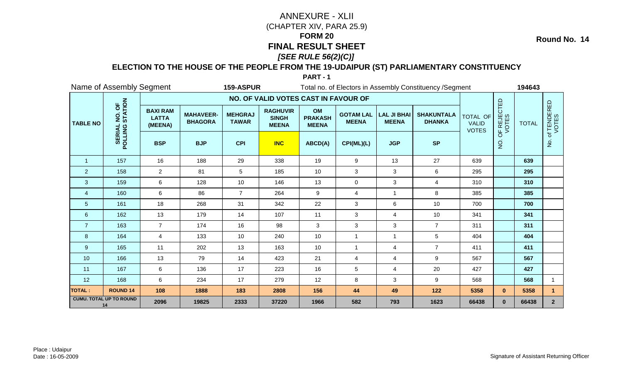**Round No. 14**

## **ELECTION TO THE HOUSE OF THE PEOPLE FROM THE 19-UDAIPUR (ST) PARLIAMENTARY CONSTITUENCY**

|                 | Name of Assembly Segment<br>159-ASPUR<br>Total no. of Electors in Assembly Constituency / Segment |                                            |                                    |                                |                                                 |                                      |                                  |                                    | 194643                             |                                          |                             |              |                     |
|-----------------|---------------------------------------------------------------------------------------------------|--------------------------------------------|------------------------------------|--------------------------------|-------------------------------------------------|--------------------------------------|----------------------------------|------------------------------------|------------------------------------|------------------------------------------|-----------------------------|--------------|---------------------|
|                 |                                                                                                   |                                            |                                    |                                | NO. OF VALID VOTES CAST IN FAVOUR OF            |                                      |                                  |                                    |                                    |                                          |                             |              |                     |
| <b>TABLE NO</b> | NO. OF                                                                                            | <b>BAXI RAM</b><br><b>LATTA</b><br>(MEENA) | <b>MAHAVEER-</b><br><b>BHAGORA</b> | <b>MEHGRAJ</b><br><b>TAWAR</b> | <b>RAGHUVIR</b><br><b>SINGH</b><br><b>MEENA</b> | OM<br><b>PRAKASH</b><br><b>MEENA</b> | <b>GOTAM LAL</b><br><b>MEENA</b> | <b>LAL JI BHAI</b><br><b>MEENA</b> | <b>SHAKUNTALA</b><br><b>DHANKA</b> | TOTAL OF<br><b>VALID</b><br><b>VOTES</b> | <b>PF REJECTED</b><br>VOTES | <b>TOTAL</b> | f TENDERED<br>VOTES |
|                 | POLLING                                                                                           | <b>BSP</b>                                 | <b>BJP</b>                         | <b>CPI</b>                     | <b>INC</b>                                      | ABCD(A)                              | CPI(ML)(L)                       | <b>JGP</b>                         | <b>SP</b>                          |                                          | 为<br>O<br>$\overline{Q}$    |              | ঌ<br>$\frac{1}{2}$  |
| $\overline{1}$  | 157                                                                                               | 16                                         | 188                                | 29                             | 338                                             | 19                                   | 9                                | 13                                 | 27                                 | 639                                      |                             | 639          |                     |
| $\overline{2}$  | 158                                                                                               | $\overline{2}$                             | 81                                 | 5                              | 185                                             | 10                                   | 3                                | 3                                  | 6                                  | 295                                      |                             | 295          |                     |
| 3               | 159                                                                                               | 6                                          | 128                                | 10                             | 146                                             | 13                                   | $\mathbf 0$                      | $\mathbf{3}$                       | $\overline{4}$                     | 310                                      |                             | 310          |                     |
| $\overline{4}$  | 160                                                                                               | 6                                          | 86                                 | $\overline{7}$                 | 264                                             | 9                                    | 4                                | 1                                  | 8                                  | 385                                      |                             | 385          |                     |
| $5\phantom{1}$  | 161                                                                                               | 18                                         | 268                                | 31                             | 342                                             | 22                                   | 3                                | $\,6\,$                            | 10                                 | 700                                      |                             | 700          |                     |
| $6\phantom{1}6$ | 162                                                                                               | 13                                         | 179                                | 14                             | 107                                             | 11                                   | 3                                | $\overline{4}$                     | 10                                 | 341                                      |                             | 341          |                     |
| $\overline{7}$  | 163                                                                                               | $\overline{7}$                             | 174                                | 16                             | 98                                              | 3                                    | 3                                | 3                                  | $\overline{7}$                     | 311                                      |                             | 311          |                     |
| 8               | 164                                                                                               | $\overline{4}$                             | 133                                | 10                             | 240                                             | 10                                   | $\overline{\mathbf{1}}$          | 1                                  | 5                                  | 404                                      |                             | 404          |                     |
| 9               | 165                                                                                               | 11                                         | 202                                | 13                             | 163                                             | 10                                   | $\overline{1}$                   | 4                                  | $\overline{7}$                     | 411                                      |                             | 411          |                     |
| 10              | 166                                                                                               | 13                                         | 79                                 | 14                             | 423                                             | 21                                   | 4                                | 4                                  | 9                                  | 567                                      |                             | 567          |                     |
| 11              | 167                                                                                               | 6                                          | 136                                | 17                             | 223                                             | 16                                   | 5                                | 4                                  | 20                                 | 427                                      |                             | 427          |                     |
| 12              | 168                                                                                               | 6                                          | 234                                | 17                             | 279                                             | 12                                   | 8                                | 3                                  | 9                                  | 568                                      |                             | 568          | $\mathbf{1}$        |
| <b>TOTAL:</b>   | <b>ROUND 14</b>                                                                                   | 108                                        | 1888                               | 183                            | 2808                                            | 156                                  | 44                               | 49                                 | 122                                | 5358                                     | $\mathbf{0}$                | 5358         | $\mathbf 1$         |
|                 | <b>CUMU. TOTAL UP TO ROUND</b><br>14                                                              | 2096                                       | 19825                              | 2333                           | 37220                                           | 1966                                 | 582                              | 793                                | 1623                               | 66438                                    | $\mathbf{0}$                | 66438        | 2 <sup>2</sup>      |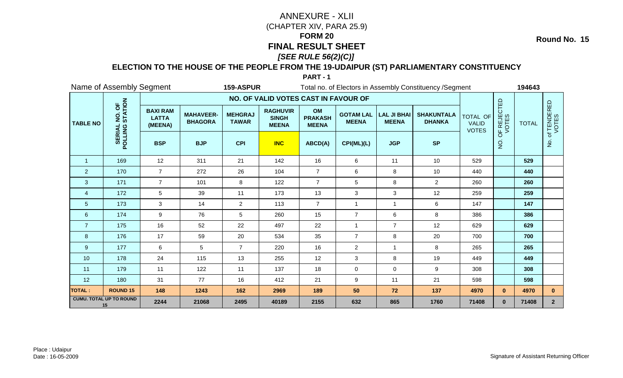**Round No. 15**

## **ELECTION TO THE HOUSE OF THE PEOPLE FROM THE 19-UDAIPUR (ST) PARLIAMENTARY CONSTITUENCY**

| Name of Assembly Segment<br>159-ASPUR |                                      |                                            |                                    |                                |                                                 | 194643<br>Total no. of Electors in Assembly Constituency / Segment |                                  |                                    |                                    |                                          |                                  |              |                     |  |
|---------------------------------------|--------------------------------------|--------------------------------------------|------------------------------------|--------------------------------|-------------------------------------------------|--------------------------------------------------------------------|----------------------------------|------------------------------------|------------------------------------|------------------------------------------|----------------------------------|--------------|---------------------|--|
|                                       |                                      |                                            |                                    |                                | NO. OF VALID VOTES CAST IN FAVOUR OF            |                                                                    |                                  |                                    |                                    |                                          |                                  |              |                     |  |
| <b>TABLE NO</b>                       | SERIAL NO. OF<br>POLLING STATION     | <b>BAXI RAM</b><br><b>LATTA</b><br>(MEENA) | <b>MAHAVEER-</b><br><b>BHAGORA</b> | <b>MEHGRAJ</b><br><b>TAWAR</b> | <b>RAGHUVIR</b><br><b>SINGH</b><br><b>MEENA</b> | OM<br><b>PRAKASH</b><br><b>MEENA</b>                               | <b>GOTAM LAL</b><br><b>MEENA</b> | <b>LAL JI BHAI</b><br><b>MEENA</b> | <b>SHAKUNTALA</b><br><b>DHANKA</b> | TOTAL OF<br><b>VALID</b><br><b>VOTES</b> | <b>PF REJECTED</b><br>VOTES      | <b>TOTAL</b> | f TENDERED<br>VOTES |  |
|                                       |                                      | <b>BSP</b>                                 | <b>BJP</b>                         | <b>CPI</b>                     | <b>INC</b>                                      | ABCD(A)                                                            | CPI(ML)(L)                       | <b>JGP</b>                         | <b>SP</b>                          |                                          | $\overline{5}$<br>$\overline{Q}$ |              | 'ত<br>$\frac{1}{2}$ |  |
| $\overline{1}$                        | 169                                  | 12                                         | 311                                | 21                             | 142                                             | 16                                                                 | 6                                | 11                                 | 10                                 | 529                                      |                                  | 529          |                     |  |
| $\overline{2}$                        | 170                                  | $\overline{7}$                             | 272                                | 26                             | 104                                             | $\overline{7}$                                                     | 6                                | 8                                  | 10                                 | 440                                      |                                  | 440          |                     |  |
| 3                                     | 171                                  | $\overline{7}$                             | 101                                | 8                              | 122                                             | $\overline{7}$                                                     | 5                                | 8                                  | $\overline{2}$                     | 260                                      |                                  | 260          |                     |  |
| $\overline{4}$                        | 172                                  | $5\overline{)}$                            | 39                                 | 11                             | 173                                             | 13                                                                 | 3                                | 3                                  | 12                                 | 259                                      |                                  | 259          |                     |  |
| $5\phantom{1}$                        | 173                                  | 3                                          | 14                                 | $\overline{2}$                 | 113                                             | $\overline{7}$                                                     | $\overline{1}$                   | 1                                  | $6\phantom{1}$                     | 147                                      |                                  | 147          |                     |  |
| $6\phantom{1}6$                       | 174                                  | 9                                          | 76                                 | 5                              | 260                                             | 15                                                                 | $\overline{7}$                   | 6                                  | 8                                  | 386                                      |                                  | 386          |                     |  |
| $\overline{7}$                        | 175                                  | 16                                         | 52                                 | 22                             | 497                                             | 22                                                                 | $\overline{1}$                   | $\overline{7}$                     | 12                                 | 629                                      |                                  | 629          |                     |  |
| 8                                     | 176                                  | 17                                         | 59                                 | 20                             | 534                                             | 35                                                                 | $\overline{7}$                   | 8                                  | 20                                 | 700                                      |                                  | 700          |                     |  |
| 9                                     | 177                                  | 6                                          | 5                                  | $\overline{7}$                 | 220                                             | 16                                                                 | $\overline{2}$                   | 1                                  | 8                                  | 265                                      |                                  | 265          |                     |  |
| 10                                    | 178                                  | 24                                         | 115                                | 13                             | 255                                             | 12                                                                 | 3                                | 8                                  | 19                                 | 449                                      |                                  | 449          |                     |  |
| 11                                    | 179                                  | 11                                         | 122                                | 11                             | 137                                             | 18                                                                 | $\mathsf 0$                      | $\mathbf 0$                        | 9                                  | 308                                      |                                  | 308          |                     |  |
| 12                                    | 180                                  | 31                                         | 77                                 | 16                             | 412                                             | 21                                                                 | 9                                | 11                                 | 21                                 | 598                                      |                                  | 598          |                     |  |
| <b>TOTAL:</b>                         | <b>ROUND 15</b>                      | 148                                        | 1243                               | 162                            | 2969                                            | 189                                                                | 50                               | 72                                 | 137                                | 4970                                     | $\mathbf{0}$                     | 4970         | $\mathbf{0}$        |  |
|                                       | <b>CUMU. TOTAL UP TO ROUND</b><br>15 | 2244                                       | 21068                              | 2495                           | 40189                                           | 2155                                                               | 632                              | 865                                | 1760                               | 71408                                    | $\mathbf{0}$                     | 71408        | 2 <sup>2</sup>      |  |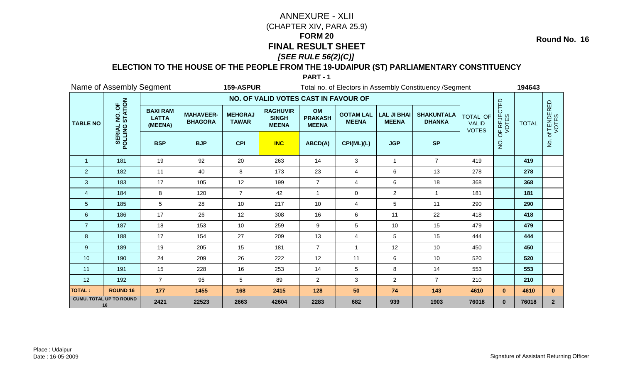**Round No. 16**

## **ELECTION TO THE HOUSE OF THE PEOPLE FROM THE 19-UDAIPUR (ST) PARLIAMENTARY CONSTITUENCY**

|                 | Name of Assembly Segment<br>159-ASPUR |                                            |                                    |                                |                                                 |                                      | Total no. of Electors in Assembly Constituency / Segment |                                    |                                    |                                          |                      |              |                     |  |
|-----------------|---------------------------------------|--------------------------------------------|------------------------------------|--------------------------------|-------------------------------------------------|--------------------------------------|----------------------------------------------------------|------------------------------------|------------------------------------|------------------------------------------|----------------------|--------------|---------------------|--|
|                 |                                       |                                            |                                    |                                | NO. OF VALID VOTES CAST IN FAVOUR OF            |                                      |                                                          |                                    |                                    |                                          |                      |              |                     |  |
| <b>TABLE NO</b> | NO. OF<br>STATION                     | <b>BAXI RAM</b><br><b>LATTA</b><br>(MEENA) | <b>MAHAVEER-</b><br><b>BHAGORA</b> | <b>MEHGRAJ</b><br><b>TAWAR</b> | <b>RAGHUVIR</b><br><b>SINGH</b><br><b>MEENA</b> | OM<br><b>PRAKASH</b><br><b>MEENA</b> | <b>GOTAM LAL</b><br><b>MEENA</b>                         | <b>LAL JI BHAI</b><br><b>MEENA</b> | <b>SHAKUNTALA</b><br><b>DHANKA</b> | TOTAL OF<br><b>VALID</b><br><b>VOTES</b> | OF REJECTED<br>VOTES | <b>TOTAL</b> | f TENDERED<br>VOTES |  |
|                 | POLLING                               | <b>BSP</b>                                 | <b>BJP</b>                         | <b>CPI</b>                     | <b>INC</b>                                      | ABCD(A)                              | CPI(ML)(L)                                               | <b>JGP</b>                         | <b>SP</b>                          |                                          | $\dot{Q}$            |              | 'ত<br>$\frac{1}{2}$ |  |
| $\overline{1}$  | 181                                   | 19                                         | 92                                 | 20                             | 263                                             | 14                                   | $\mathbf{3}$                                             | $\mathbf 1$                        | $\overline{7}$                     | 419                                      |                      | 419          |                     |  |
| $\overline{2}$  | 182                                   | 11                                         | 40                                 | 8                              | 173                                             | 23                                   | 4                                                        | 6                                  | 13                                 | 278                                      |                      | 278          |                     |  |
| 3               | 183                                   | 17                                         | 105                                | 12                             | 199                                             | $\overline{7}$                       | 4                                                        | 6                                  | 18                                 | 368                                      |                      | 368          |                     |  |
| $\overline{4}$  | 184                                   | 8                                          | 120                                | $\overline{7}$                 | 42                                              | $\mathbf{1}$                         | 0                                                        | $\overline{2}$                     | $\mathbf{1}$                       | 181                                      |                      | 181          |                     |  |
| $5\phantom{1}$  | 185                                   | 5                                          | 28                                 | 10                             | 217                                             | 10                                   | 4                                                        | 5                                  | 11                                 | 290                                      |                      | 290          |                     |  |
| $6\phantom{1}6$ | 186                                   | 17                                         | 26                                 | 12                             | 308                                             | 16                                   | 6                                                        | 11                                 | 22                                 | 418                                      |                      | 418          |                     |  |
| $\overline{7}$  | 187                                   | 18                                         | 153                                | 10                             | 259                                             | 9                                    | 5                                                        | 10                                 | 15                                 | 479                                      |                      | 479          |                     |  |
| 8               | 188                                   | 17                                         | 154                                | 27                             | 209                                             | 13                                   | 4                                                        | 5                                  | 15                                 | 444                                      |                      | 444          |                     |  |
| 9               | 189                                   | 19                                         | 205                                | 15                             | 181                                             | $\overline{7}$                       | $\overline{1}$                                           | 12                                 | 10                                 | 450                                      |                      | 450          |                     |  |
| 10              | 190                                   | 24                                         | 209                                | 26                             | 222                                             | 12                                   | 11                                                       | 6                                  | 10                                 | 520                                      |                      | 520          |                     |  |
| 11              | 191                                   | 15                                         | 228                                | 16                             | 253                                             | 14                                   | 5                                                        | 8                                  | 14                                 | 553                                      |                      | 553          |                     |  |
| 12              | 192                                   | $\overline{7}$                             | 95                                 | 5                              | 89                                              | $\overline{2}$                       | 3                                                        | $\overline{2}$                     | $\overline{7}$                     | 210                                      |                      | 210          |                     |  |
| <b>TOTAL:</b>   | <b>ROUND 16</b>                       | 177                                        | 1455                               | 168                            | 2415                                            | 128                                  | 50                                                       | 74                                 | 143                                | 4610                                     | $\mathbf{0}$         | 4610         | $\mathbf{0}$        |  |
|                 | <b>CUMU. TOTAL UP TO ROUND</b><br>16  | 2421                                       | 22523                              | 2663                           | 42604                                           | 2283                                 | 682                                                      | 939                                | 1903                               | 76018                                    | $\mathbf{0}$         | 76018        | 2 <sup>2</sup>      |  |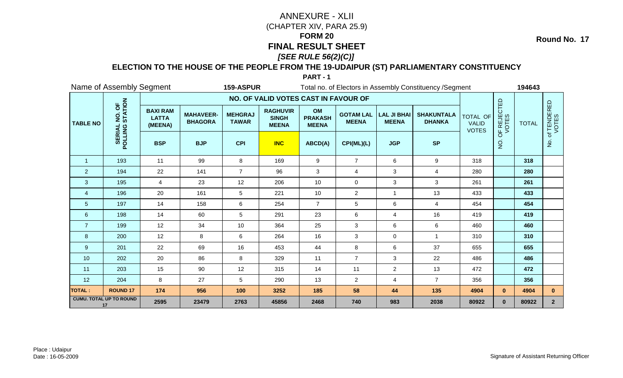**Round No. 17**

## **ELECTION TO THE HOUSE OF THE PEOPLE FROM THE 19-UDAIPUR (ST) PARLIAMENTARY CONSTITUENCY**

|                 | Name of Assembly Segment             |                                            |                                    | 159-ASPUR                      |                                                 |                                      |                                  |                                    | Total no. of Electors in Assembly Constituency / Segment |                                          |                      | 194643       |                      |
|-----------------|--------------------------------------|--------------------------------------------|------------------------------------|--------------------------------|-------------------------------------------------|--------------------------------------|----------------------------------|------------------------------------|----------------------------------------------------------|------------------------------------------|----------------------|--------------|----------------------|
|                 |                                      |                                            |                                    |                                |                                                 |                                      |                                  |                                    |                                                          |                                          |                      |              |                      |
| <b>TABLE NO</b> | NO. OF<br>STATION                    | <b>BAXI RAM</b><br><b>LATTA</b><br>(MEENA) | <b>MAHAVEER-</b><br><b>BHAGORA</b> | <b>MEHGRAJ</b><br><b>TAWAR</b> | <b>RAGHUVIR</b><br><b>SINGH</b><br><b>MEENA</b> | OM<br><b>PRAKASH</b><br><b>MEENA</b> | <b>GOTAM LAL</b><br><b>MEENA</b> | <b>LAL JI BHAI</b><br><b>MEENA</b> | <b>SHAKUNTALA</b><br><b>DHANKA</b>                       | TOTAL OF<br><b>VALID</b><br><b>VOTES</b> | OF REJECTED<br>VOTES | <b>TOTAL</b> | of TENDERED<br>VOTES |
|                 | POLLING                              | <b>BSP</b>                                 | <b>BJP</b>                         | <b>CPI</b>                     | <b>INC</b>                                      | ABCD(A)                              | CPI(ML)(L)                       | <b>JGP</b>                         | <b>SP</b>                                                |                                          | $\overline{2}$       |              | $\frac{1}{2}$        |
| $\overline{1}$  | 193                                  | 11                                         | 99                                 | 8                              | 169                                             | 9                                    | $\overline{7}$                   | 6                                  | $\boldsymbol{9}$                                         | 318                                      |                      | 318          |                      |
| $\overline{2}$  | 194                                  | 22                                         | 141                                | $\overline{7}$                 | 96                                              | $\sqrt{3}$                           | 4                                | 3                                  | 4                                                        | 280                                      |                      | 280          |                      |
| 3               | 195                                  | $\overline{4}$                             | 23                                 | 12                             | 206                                             | 10                                   | $\mathbf 0$                      | 3                                  | 3                                                        | 261                                      |                      | 261          |                      |
| $\overline{4}$  | 196                                  | 20                                         | 161                                | 5                              | 221                                             | 10                                   | $\overline{c}$                   | $\mathbf{1}$                       | 13                                                       | 433                                      |                      | 433          |                      |
| $5\phantom{1}$  | 197                                  | 14                                         | 158                                | 6                              | 254                                             | $\overline{7}$                       | 5                                | 6                                  | 4                                                        | 454                                      |                      | 454          |                      |
| $\,6\,$         | 198                                  | 14                                         | 60                                 | 5                              | 291                                             | 23                                   | $\,6\,$                          | 4                                  | 16                                                       | 419                                      |                      | 419          |                      |
| $\overline{7}$  | 199                                  | 12                                         | 34                                 | 10                             | 364                                             | 25                                   | 3                                | 6                                  | 6                                                        | 460                                      |                      | 460          |                      |
| 8               | 200                                  | 12                                         | 8                                  | 6                              | 264                                             | 16                                   | 3                                | $\mathbf 0$                        | $\mathbf{1}$                                             | 310                                      |                      | 310          |                      |
| 9               | 201                                  | 22                                         | 69                                 | 16                             | 453                                             | 44                                   | 8                                | 6                                  | 37                                                       | 655                                      |                      | 655          |                      |
| 10              | 202                                  | 20                                         | 86                                 | 8                              | 329                                             | 11                                   | $\overline{7}$                   | 3                                  | 22                                                       | 486                                      |                      | 486          |                      |
| 11              | 203                                  | 15                                         | 90                                 | 12                             | 315                                             | 14                                   | 11                               | $\overline{2}$                     | 13                                                       | 472                                      |                      | 472          |                      |
| 12              | 204                                  | 8                                          | 27                                 | 5                              | 290                                             | 13                                   | $\overline{c}$                   | 4                                  | $\overline{7}$                                           | 356                                      |                      | 356          |                      |
| <b>TOTAL:</b>   | <b>ROUND 17</b>                      | 174                                        | 956                                | 100                            | 3252                                            | 185                                  | 58                               | 44                                 | 135                                                      | 4904                                     | $\mathbf{0}$         | 4904         | $\mathbf{0}$         |
|                 | <b>CUMU. TOTAL UP TO ROUND</b><br>17 | 2595                                       | 23479                              | 2763                           | 45856                                           | 2468                                 | 740                              | 983                                | 2038                                                     | 80922                                    | $\bf{0}$             | 80922        | $\overline{2}$       |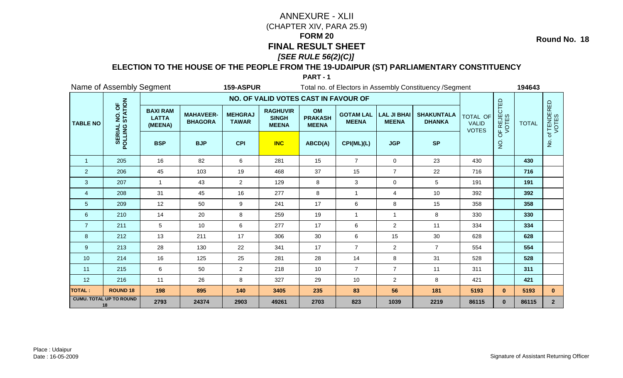**Round No. 18**

## **ELECTION TO THE HOUSE OF THE PEOPLE FROM THE 19-UDAIPUR (ST) PARLIAMENTARY CONSTITUENCY**

|                 | Name of Assembly Segment<br>159-ASPUR |                                            |                                    |                                |                                                 |                                      | Total no. of Electors in Assembly Constituency / Segment<br>194643 |                                    |                                    |                                          |                      |              |                     |  |  |
|-----------------|---------------------------------------|--------------------------------------------|------------------------------------|--------------------------------|-------------------------------------------------|--------------------------------------|--------------------------------------------------------------------|------------------------------------|------------------------------------|------------------------------------------|----------------------|--------------|---------------------|--|--|
|                 |                                       |                                            |                                    |                                | NO. OF VALID VOTES CAST IN FAVOUR OF            |                                      |                                                                    |                                    |                                    |                                          |                      |              |                     |  |  |
| <b>TABLE NO</b> | NO. OF<br>STATION                     | <b>BAXI RAM</b><br><b>LATTA</b><br>(MEENA) | <b>MAHAVEER-</b><br><b>BHAGORA</b> | <b>MEHGRAJ</b><br><b>TAWAR</b> | <b>RAGHUVIR</b><br><b>SINGH</b><br><b>MEENA</b> | OM<br><b>PRAKASH</b><br><b>MEENA</b> | <b>GOTAM LAL</b><br><b>MEENA</b>                                   | <b>LAL JI BHAI</b><br><b>MEENA</b> | <b>SHAKUNTALA</b><br><b>DHANKA</b> | TOTAL OF<br><b>VALID</b><br><b>VOTES</b> | OF REJECTED<br>VOTES | <b>TOTAL</b> | f TENDERED<br>VOTES |  |  |
|                 | POLLING                               | <b>BSP</b>                                 | <b>BJP</b>                         | <b>CPI</b>                     | <b>INC</b>                                      | ABCD(A)                              | CPI(ML)(L)                                                         | <b>JGP</b>                         | <b>SP</b>                          |                                          | $\dot{Q}$            |              | 'ত<br>$\frac{1}{2}$ |  |  |
| $\overline{1}$  | 205                                   | 16                                         | 82                                 | 6                              | 281                                             | 15                                   | $\overline{7}$                                                     | 0                                  | 23                                 | 430                                      |                      | 430          |                     |  |  |
| $\overline{2}$  | 206                                   | 45                                         | 103                                | 19                             | 468                                             | 37                                   | 15                                                                 | $\overline{7}$                     | 22                                 | 716                                      |                      | 716          |                     |  |  |
| 3               | 207                                   |                                            | 43                                 | $\overline{2}$                 | 129                                             | 8                                    | $\mathbf{3}$                                                       | $\pmb{0}$                          | 5                                  | 191                                      |                      | 191          |                     |  |  |
| $\overline{4}$  | 208                                   | 31                                         | 45                                 | 16                             | 277                                             | 8                                    | $\overline{1}$                                                     | 4                                  | 10                                 | 392                                      |                      | 392          |                     |  |  |
| $5\phantom{1}$  | 209                                   | 12                                         | 50                                 | 9                              | 241                                             | 17                                   | 6                                                                  | 8                                  | 15                                 | 358                                      |                      | 358          |                     |  |  |
| $6\phantom{1}6$ | 210                                   | 14                                         | 20                                 | 8                              | 259                                             | 19                                   | $\overline{1}$                                                     | $\overline{1}$                     | 8                                  | 330                                      |                      | 330          |                     |  |  |
| $\overline{7}$  | 211                                   | 5                                          | 10                                 | 6                              | 277                                             | 17                                   | 6                                                                  | $\overline{2}$                     | 11                                 | 334                                      |                      | 334          |                     |  |  |
| 8               | 212                                   | 13                                         | 211                                | 17                             | 306                                             | 30                                   | 6                                                                  | 15                                 | 30                                 | 628                                      |                      | 628          |                     |  |  |
| 9               | 213                                   | 28                                         | 130                                | 22                             | 341                                             | 17                                   | $\overline{7}$                                                     | $\overline{2}$                     | $\overline{7}$                     | 554                                      |                      | 554          |                     |  |  |
| 10              | 214                                   | 16                                         | 125                                | 25                             | 281                                             | 28                                   | 14                                                                 | 8                                  | 31                                 | 528                                      |                      | 528          |                     |  |  |
| 11              | 215                                   | 6                                          | 50                                 | $\overline{2}$                 | 218                                             | 10                                   | $\overline{7}$                                                     | $\overline{7}$                     | 11                                 | 311                                      |                      | 311          |                     |  |  |
| 12              | 216                                   | 11                                         | 26                                 | 8                              | 327                                             | 29                                   | 10                                                                 | $\overline{2}$                     | 8                                  | 421                                      |                      | 421          |                     |  |  |
| <b>TOTAL:</b>   | <b>ROUND 18</b>                       | 198                                        | 895                                | 140                            | 3405                                            | 235                                  | 83                                                                 | 56                                 | 181                                | 5193                                     | $\mathbf{0}$         | 5193         | $\mathbf{0}$        |  |  |
|                 | <b>CUMU. TOTAL UP TO ROUND</b><br>18  | 2793                                       | 24374                              | 2903                           | 49261                                           | 2703                                 | 823                                                                | 1039                               | 2219                               | 86115                                    | $\mathbf{0}$         | 86115        | 2 <sup>2</sup>      |  |  |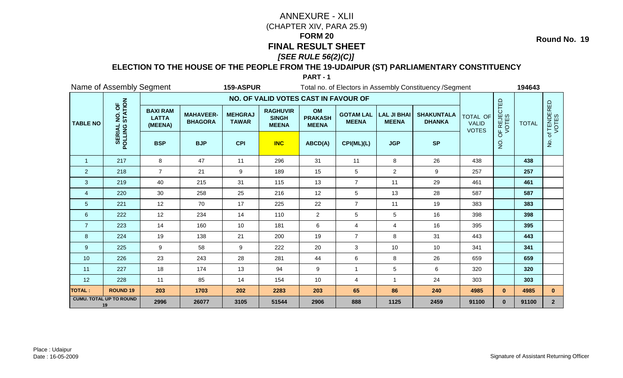**Round No. 19**

## **ELECTION TO THE HOUSE OF THE PEOPLE FROM THE 19-UDAIPUR (ST) PARLIAMENTARY CONSTITUENCY**

|                 | Name of Assembly Segment<br>159-ASPUR |                                            |                                    |                                |                                                 |                                      | Total no. of Electors in Assembly Constituency / Segment |                                    |                                    |                                          |                      |                                                                                                                          |                     |  |
|-----------------|---------------------------------------|--------------------------------------------|------------------------------------|--------------------------------|-------------------------------------------------|--------------------------------------|----------------------------------------------------------|------------------------------------|------------------------------------|------------------------------------------|----------------------|--------------------------------------------------------------------------------------------------------------------------|---------------------|--|
|                 |                                       |                                            |                                    |                                | NO. OF VALID VOTES CAST IN FAVOUR OF            |                                      |                                                          |                                    |                                    |                                          |                      | 194643<br><b>TOTAL</b><br>'ত<br>438<br>257<br>461<br>587<br>383<br>398<br>395<br>443<br>341<br>659<br>320<br>303<br>4985 |                     |  |
| <b>TABLE NO</b> | NO. OF<br>STATION                     | <b>BAXI RAM</b><br><b>LATTA</b><br>(MEENA) | <b>MAHAVEER-</b><br><b>BHAGORA</b> | <b>MEHGRAJ</b><br><b>TAWAR</b> | <b>RAGHUVIR</b><br><b>SINGH</b><br><b>MEENA</b> | OM<br><b>PRAKASH</b><br><b>MEENA</b> | <b>GOTAM LAL</b><br><b>MEENA</b>                         | <b>LAL JI BHAI</b><br><b>MEENA</b> | <b>SHAKUNTALA</b><br><b>DHANKA</b> | TOTAL OF<br><b>VALID</b><br><b>VOTES</b> | OF REJECTED<br>VOTES |                                                                                                                          | f TENDERED<br>VOTES |  |
|                 | POLLING                               | <b>BSP</b>                                 | <b>BJP</b>                         | <b>CPI</b>                     | <b>INC</b>                                      | ABCD(A)                              | CPI(ML)(L)                                               | <b>JGP</b>                         | <b>SP</b>                          |                                          | $\dot{Q}$            |                                                                                                                          | $\frac{1}{2}$       |  |
| $\overline{1}$  | 217                                   | 8                                          | 47                                 | 11                             | 296                                             | 31                                   | 11                                                       | 8                                  | 26                                 | 438                                      |                      |                                                                                                                          |                     |  |
| $\overline{2}$  | 218                                   | $\overline{7}$                             | 21                                 | 9                              | 189                                             | 15                                   | 5                                                        | $\overline{c}$                     | 9                                  | 257                                      |                      |                                                                                                                          |                     |  |
| 3               | 219                                   | 40                                         | 215                                | 31                             | 115                                             | 13                                   | $\overline{7}$                                           | 11                                 | 29                                 | 461                                      |                      |                                                                                                                          |                     |  |
| $\overline{4}$  | 220                                   | 30                                         | 258                                | 25                             | 216                                             | 12                                   | 5                                                        | 13                                 | 28                                 | 587                                      |                      |                                                                                                                          |                     |  |
| $5\phantom{1}$  | 221                                   | 12                                         | 70                                 | 17                             | 225                                             | 22                                   | $\overline{7}$                                           | 11                                 | 19                                 | 383                                      |                      |                                                                                                                          |                     |  |
| $6\phantom{1}6$ | 222                                   | 12                                         | 234                                | 14                             | 110                                             | $\overline{2}$                       | 5                                                        | 5                                  | 16                                 | 398                                      |                      |                                                                                                                          |                     |  |
| $\overline{7}$  | 223                                   | 14                                         | 160                                | 10                             | 181                                             | 6                                    | 4                                                        | 4                                  | 16                                 | 395                                      |                      |                                                                                                                          |                     |  |
| 8               | 224                                   | 19                                         | 138                                | 21                             | 200                                             | 19                                   | $\overline{7}$                                           | 8                                  | 31                                 | 443                                      |                      |                                                                                                                          |                     |  |
| 9               | 225                                   | 9                                          | 58                                 | 9                              | 222                                             | 20                                   | 3                                                        | 10                                 | 10                                 | 341                                      |                      |                                                                                                                          |                     |  |
| 10              | 226                                   | 23                                         | 243                                | 28                             | 281                                             | 44                                   | 6                                                        | 8                                  | 26                                 | 659                                      |                      |                                                                                                                          |                     |  |
| 11              | 227                                   | 18                                         | 174                                | 13                             | 94                                              | 9                                    | $\overline{1}$                                           | 5                                  | 6                                  | 320                                      |                      |                                                                                                                          |                     |  |
| 12              | 228                                   | 11                                         | 85                                 | 14                             | 154                                             | 10                                   | 4                                                        | 1                                  | 24                                 | 303                                      |                      |                                                                                                                          |                     |  |
| <b>TOTAL:</b>   | <b>ROUND 19</b>                       | 203                                        | 1703                               | 202                            | 2283                                            | 203                                  | 65                                                       | 86                                 | 240                                | 4985                                     | $\mathbf{0}$         |                                                                                                                          | $\mathbf{0}$        |  |
|                 | <b>CUMU. TOTAL UP TO ROUND</b><br>19  | 2996                                       | 26077                              | 3105                           | 51544                                           | 2906                                 | 888                                                      | 1125                               | 2459                               | 91100                                    | $\mathbf{0}$         | 91100                                                                                                                    | 2 <sup>2</sup>      |  |